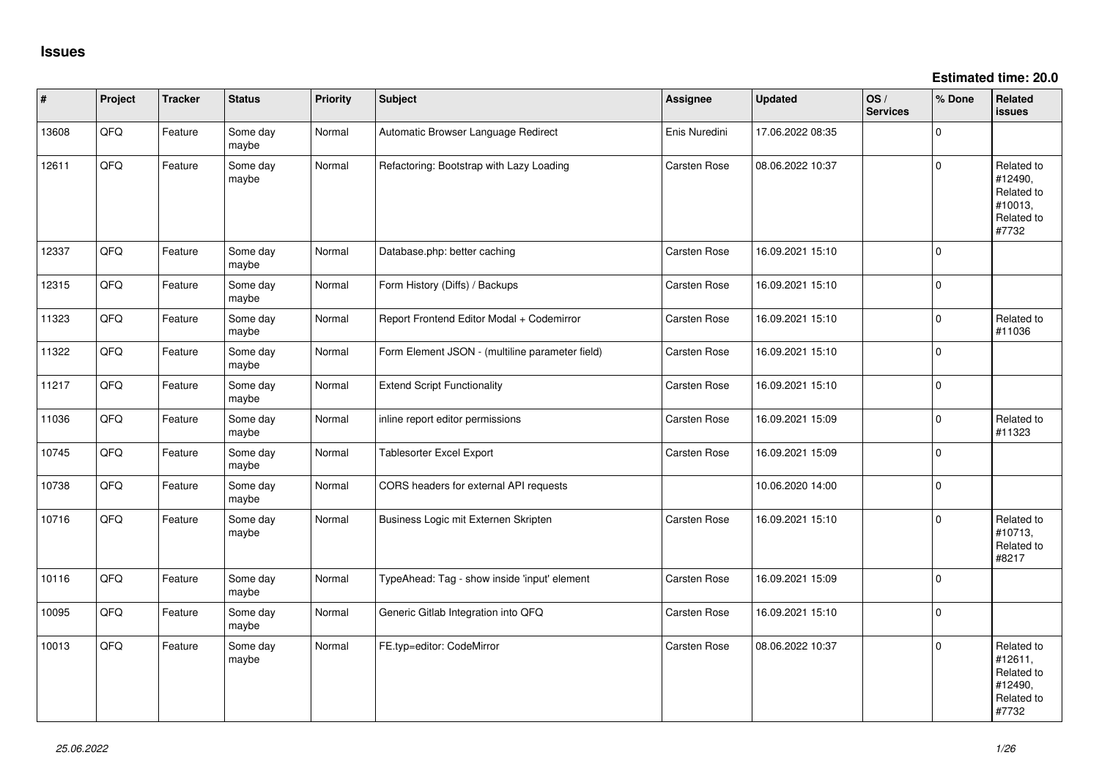**Estimated time: 20.0**

| #     | Project | <b>Tracker</b> | <b>Status</b>     | Priority | <b>Subject</b>                                  | <b>Assignee</b> | <b>Updated</b>   | OS/<br><b>Services</b> | % Done       | Related<br><b>issues</b>                                              |
|-------|---------|----------------|-------------------|----------|-------------------------------------------------|-----------------|------------------|------------------------|--------------|-----------------------------------------------------------------------|
| 13608 | QFQ     | Feature        | Some day<br>maybe | Normal   | Automatic Browser Language Redirect             | Enis Nuredini   | 17.06.2022 08:35 |                        | $\mathbf 0$  |                                                                       |
| 12611 | QFQ     | Feature        | Some day<br>maybe | Normal   | Refactoring: Bootstrap with Lazy Loading        | Carsten Rose    | 08.06.2022 10:37 |                        | $\mathbf 0$  | Related to<br>#12490,<br>Related to<br>#10013,<br>Related to<br>#7732 |
| 12337 | QFQ     | Feature        | Some day<br>maybe | Normal   | Database.php: better caching                    | Carsten Rose    | 16.09.2021 15:10 |                        | $\mathbf{0}$ |                                                                       |
| 12315 | QFQ     | Feature        | Some day<br>maybe | Normal   | Form History (Diffs) / Backups                  | Carsten Rose    | 16.09.2021 15:10 |                        | $\mathbf 0$  |                                                                       |
| 11323 | QFQ     | Feature        | Some day<br>maybe | Normal   | Report Frontend Editor Modal + Codemirror       | Carsten Rose    | 16.09.2021 15:10 |                        | $\mathbf 0$  | Related to<br>#11036                                                  |
| 11322 | QFQ     | Feature        | Some day<br>maybe | Normal   | Form Element JSON - (multiline parameter field) | Carsten Rose    | 16.09.2021 15:10 |                        | $\mathbf 0$  |                                                                       |
| 11217 | QFQ     | Feature        | Some day<br>maybe | Normal   | <b>Extend Script Functionality</b>              | Carsten Rose    | 16.09.2021 15:10 |                        | $\mathbf 0$  |                                                                       |
| 11036 | QFQ     | Feature        | Some day<br>maybe | Normal   | inline report editor permissions                | Carsten Rose    | 16.09.2021 15:09 |                        | $\Omega$     | Related to<br>#11323                                                  |
| 10745 | QFQ     | Feature        | Some day<br>maybe | Normal   | <b>Tablesorter Excel Export</b>                 | Carsten Rose    | 16.09.2021 15:09 |                        | $\mathbf 0$  |                                                                       |
| 10738 | QFQ     | Feature        | Some day<br>maybe | Normal   | CORS headers for external API requests          |                 | 10.06.2020 14:00 |                        | $\mathsf 0$  |                                                                       |
| 10716 | QFQ     | Feature        | Some day<br>maybe | Normal   | Business Logic mit Externen Skripten            | Carsten Rose    | 16.09.2021 15:10 |                        | $\Omega$     | Related to<br>#10713,<br>Related to<br>#8217                          |
| 10116 | QFQ     | Feature        | Some day<br>maybe | Normal   | TypeAhead: Tag - show inside 'input' element    | Carsten Rose    | 16.09.2021 15:09 |                        | $\mathbf 0$  |                                                                       |
| 10095 | QFQ     | Feature        | Some day<br>maybe | Normal   | Generic Gitlab Integration into QFQ             | Carsten Rose    | 16.09.2021 15:10 |                        | $\Omega$     |                                                                       |
| 10013 | QFQ     | Feature        | Some day<br>maybe | Normal   | FE.typ=editor: CodeMirror                       | Carsten Rose    | 08.06.2022 10:37 |                        | $\Omega$     | Related to<br>#12611,<br>Related to<br>#12490,<br>Related to<br>#7732 |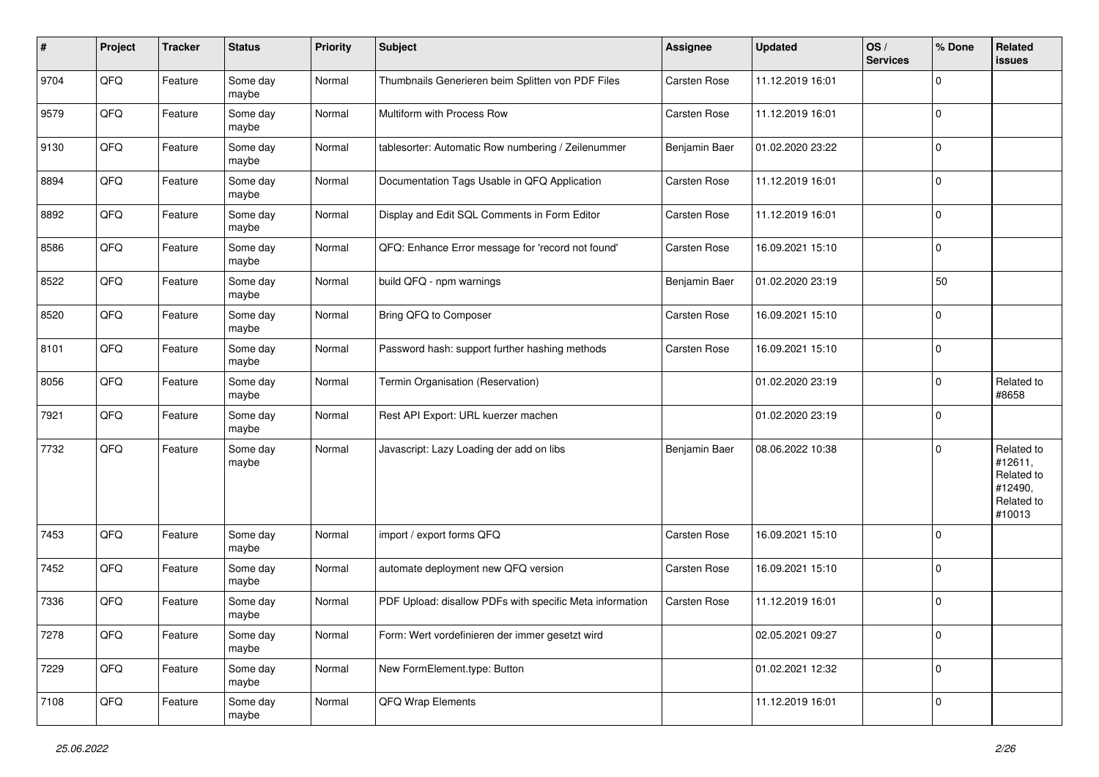| #    | Project | <b>Tracker</b> | <b>Status</b>     | <b>Priority</b> | <b>Subject</b>                                           | Assignee      | <b>Updated</b>   | OS/<br><b>Services</b> | % Done         | Related<br>issues                                                      |
|------|---------|----------------|-------------------|-----------------|----------------------------------------------------------|---------------|------------------|------------------------|----------------|------------------------------------------------------------------------|
| 9704 | QFQ     | Feature        | Some day<br>maybe | Normal          | Thumbnails Generieren beim Splitten von PDF Files        | Carsten Rose  | 11.12.2019 16:01 |                        | $\Omega$       |                                                                        |
| 9579 | QFQ     | Feature        | Some day<br>maybe | Normal          | Multiform with Process Row                               | Carsten Rose  | 11.12.2019 16:01 |                        | $\mathbf 0$    |                                                                        |
| 9130 | QFQ     | Feature        | Some day<br>maybe | Normal          | tablesorter: Automatic Row numbering / Zeilenummer       | Benjamin Baer | 01.02.2020 23:22 |                        | $\Omega$       |                                                                        |
| 8894 | QFQ     | Feature        | Some day<br>maybe | Normal          | Documentation Tags Usable in QFQ Application             | Carsten Rose  | 11.12.2019 16:01 |                        | $\mathbf 0$    |                                                                        |
| 8892 | QFQ     | Feature        | Some day<br>maybe | Normal          | Display and Edit SQL Comments in Form Editor             | Carsten Rose  | 11.12.2019 16:01 |                        | $\mathbf 0$    |                                                                        |
| 8586 | QFQ     | Feature        | Some day<br>maybe | Normal          | QFQ: Enhance Error message for 'record not found'        | Carsten Rose  | 16.09.2021 15:10 |                        | $\mathbf 0$    |                                                                        |
| 8522 | QFQ     | Feature        | Some day<br>maybe | Normal          | build QFQ - npm warnings                                 | Benjamin Baer | 01.02.2020 23:19 |                        | 50             |                                                                        |
| 8520 | QFQ     | Feature        | Some day<br>maybe | Normal          | Bring QFQ to Composer                                    | Carsten Rose  | 16.09.2021 15:10 |                        | $\mathbf 0$    |                                                                        |
| 8101 | QFQ     | Feature        | Some day<br>maybe | Normal          | Password hash: support further hashing methods           | Carsten Rose  | 16.09.2021 15:10 |                        | 0              |                                                                        |
| 8056 | QFQ     | Feature        | Some day<br>maybe | Normal          | Termin Organisation (Reservation)                        |               | 01.02.2020 23:19 |                        | $\Omega$       | Related to<br>#8658                                                    |
| 7921 | QFQ     | Feature        | Some day<br>maybe | Normal          | Rest API Export: URL kuerzer machen                      |               | 01.02.2020 23:19 |                        | $\mathbf 0$    |                                                                        |
| 7732 | QFQ     | Feature        | Some day<br>maybe | Normal          | Javascript: Lazy Loading der add on libs                 | Benjamin Baer | 08.06.2022 10:38 |                        | $\Omega$       | Related to<br>#12611,<br>Related to<br>#12490,<br>Related to<br>#10013 |
| 7453 | QFQ     | Feature        | Some day<br>maybe | Normal          | import / export forms QFQ                                | Carsten Rose  | 16.09.2021 15:10 |                        | $\overline{0}$ |                                                                        |
| 7452 | QFQ     | Feature        | Some day<br>maybe | Normal          | automate deployment new QFQ version                      | Carsten Rose  | 16.09.2021 15:10 |                        | $\mathbf 0$    |                                                                        |
| 7336 | QFQ     | Feature        | Some day<br>maybe | Normal          | PDF Upload: disallow PDFs with specific Meta information | Carsten Rose  | 11.12.2019 16:01 |                        | $\Omega$       |                                                                        |
| 7278 | QFQ     | Feature        | Some day<br>maybe | Normal          | Form: Wert vordefinieren der immer gesetzt wird          |               | 02.05.2021 09:27 |                        | 0              |                                                                        |
| 7229 | QFQ     | Feature        | Some day<br>maybe | Normal          | New FormElement.type: Button                             |               | 01.02.2021 12:32 |                        | 0              |                                                                        |
| 7108 | QFQ     | Feature        | Some day<br>maybe | Normal          | QFQ Wrap Elements                                        |               | 11.12.2019 16:01 |                        | 0              |                                                                        |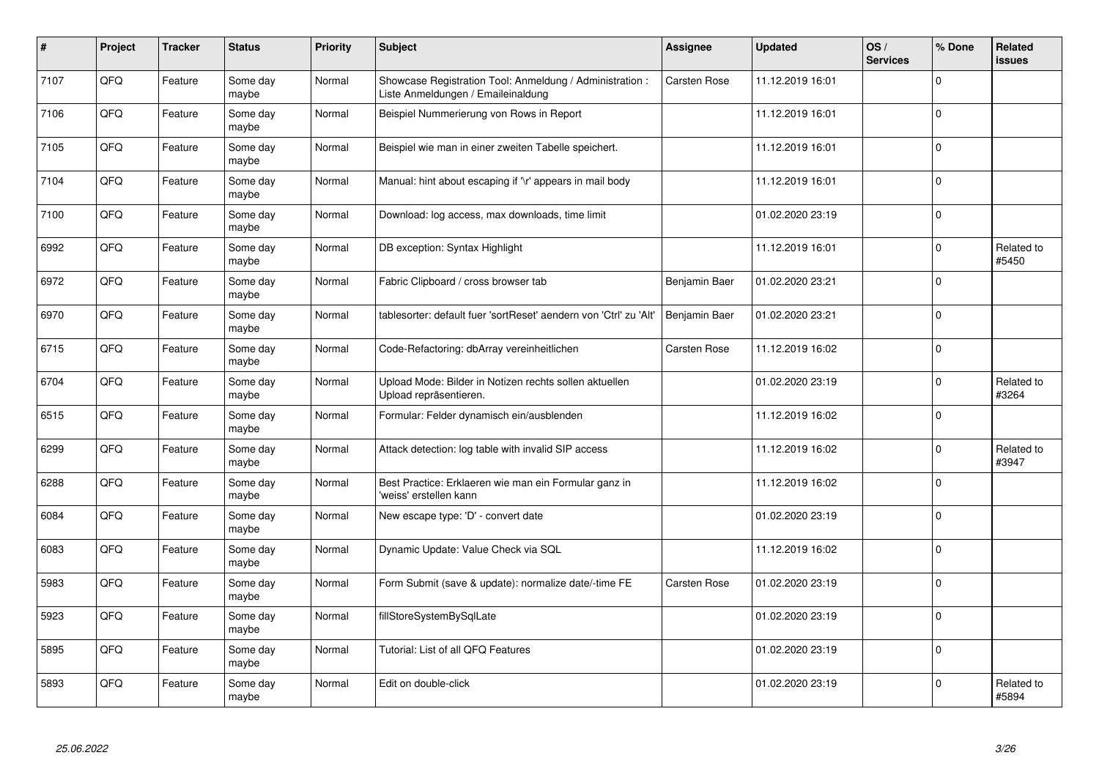| $\pmb{\#}$ | Project | <b>Tracker</b> | <b>Status</b>     | <b>Priority</b> | Subject                                                                                        | Assignee      | <b>Updated</b>   | OS/<br><b>Services</b> | % Done      | <b>Related</b><br><b>issues</b> |
|------------|---------|----------------|-------------------|-----------------|------------------------------------------------------------------------------------------------|---------------|------------------|------------------------|-------------|---------------------------------|
| 7107       | QFQ     | Feature        | Some day<br>maybe | Normal          | Showcase Registration Tool: Anmeldung / Administration :<br>Liste Anmeldungen / Emaileinaldung | Carsten Rose  | 11.12.2019 16:01 |                        | $\Omega$    |                                 |
| 7106       | QFQ     | Feature        | Some dav<br>maybe | Normal          | Beispiel Nummerierung von Rows in Report                                                       |               | 11.12.2019 16:01 |                        | $\mathbf 0$ |                                 |
| 7105       | QFQ     | Feature        | Some day<br>maybe | Normal          | Beispiel wie man in einer zweiten Tabelle speichert.                                           |               | 11.12.2019 16:01 |                        | $\mathbf 0$ |                                 |
| 7104       | QFQ     | Feature        | Some day<br>maybe | Normal          | Manual: hint about escaping if '\r' appears in mail body                                       |               | 11.12.2019 16:01 |                        | $\mathbf 0$ |                                 |
| 7100       | QFQ     | Feature        | Some day<br>maybe | Normal          | Download: log access, max downloads, time limit                                                |               | 01.02.2020 23:19 |                        | $\mathbf 0$ |                                 |
| 6992       | QFQ     | Feature        | Some day<br>maybe | Normal          | DB exception: Syntax Highlight                                                                 |               | 11.12.2019 16:01 |                        | $\mathbf 0$ | Related to<br>#5450             |
| 6972       | QFQ     | Feature        | Some day<br>maybe | Normal          | Fabric Clipboard / cross browser tab                                                           | Benjamin Baer | 01.02.2020 23:21 |                        | $\mathbf 0$ |                                 |
| 6970       | QFQ     | Feature        | Some day<br>maybe | Normal          | tablesorter: default fuer 'sortReset' aendern von 'Ctrl' zu 'Alt'                              | Benjamin Baer | 01.02.2020 23:21 |                        | $\Omega$    |                                 |
| 6715       | QFQ     | Feature        | Some day<br>maybe | Normal          | Code-Refactoring: dbArray vereinheitlichen                                                     | Carsten Rose  | 11.12.2019 16:02 |                        | $\Omega$    |                                 |
| 6704       | QFQ     | Feature        | Some day<br>maybe | Normal          | Upload Mode: Bilder in Notizen rechts sollen aktuellen<br>Upload repräsentieren.               |               | 01.02.2020 23:19 |                        | $\mathbf 0$ | Related to<br>#3264             |
| 6515       | QFQ     | Feature        | Some dav<br>maybe | Normal          | Formular: Felder dynamisch ein/ausblenden                                                      |               | 11.12.2019 16:02 |                        | $\mathbf 0$ |                                 |
| 6299       | QFQ     | Feature        | Some day<br>maybe | Normal          | Attack detection: log table with invalid SIP access                                            |               | 11.12.2019 16:02 |                        | $\mathbf 0$ | Related to<br>#3947             |
| 6288       | QFQ     | Feature        | Some day<br>maybe | Normal          | Best Practice: Erklaeren wie man ein Formular ganz in<br>'weiss' erstellen kann                |               | 11.12.2019 16:02 |                        | $\pmb{0}$   |                                 |
| 6084       | QFQ     | Feature        | Some day<br>maybe | Normal          | New escape type: 'D' - convert date                                                            |               | 01.02.2020 23:19 |                        | $\mathbf 0$ |                                 |
| 6083       | QFQ     | Feature        | Some day<br>maybe | Normal          | Dynamic Update: Value Check via SQL                                                            |               | 11.12.2019 16:02 |                        | $\Omega$    |                                 |
| 5983       | QFQ     | Feature        | Some day<br>maybe | Normal          | Form Submit (save & update): normalize date/-time FE                                           | Carsten Rose  | 01.02.2020 23:19 |                        | $\mathbf 0$ |                                 |
| 5923       | QFQ     | Feature        | Some day<br>maybe | Normal          | fillStoreSystemBySqlLate                                                                       |               | 01.02.2020 23:19 |                        | $\Omega$    |                                 |
| 5895       | QFQ     | Feature        | Some day<br>maybe | Normal          | Tutorial: List of all QFQ Features                                                             |               | 01.02.2020 23:19 |                        | $\mathbf 0$ |                                 |
| 5893       | QFQ     | Feature        | Some day<br>maybe | Normal          | Edit on double-click                                                                           |               | 01.02.2020 23:19 |                        | $\Omega$    | Related to<br>#5894             |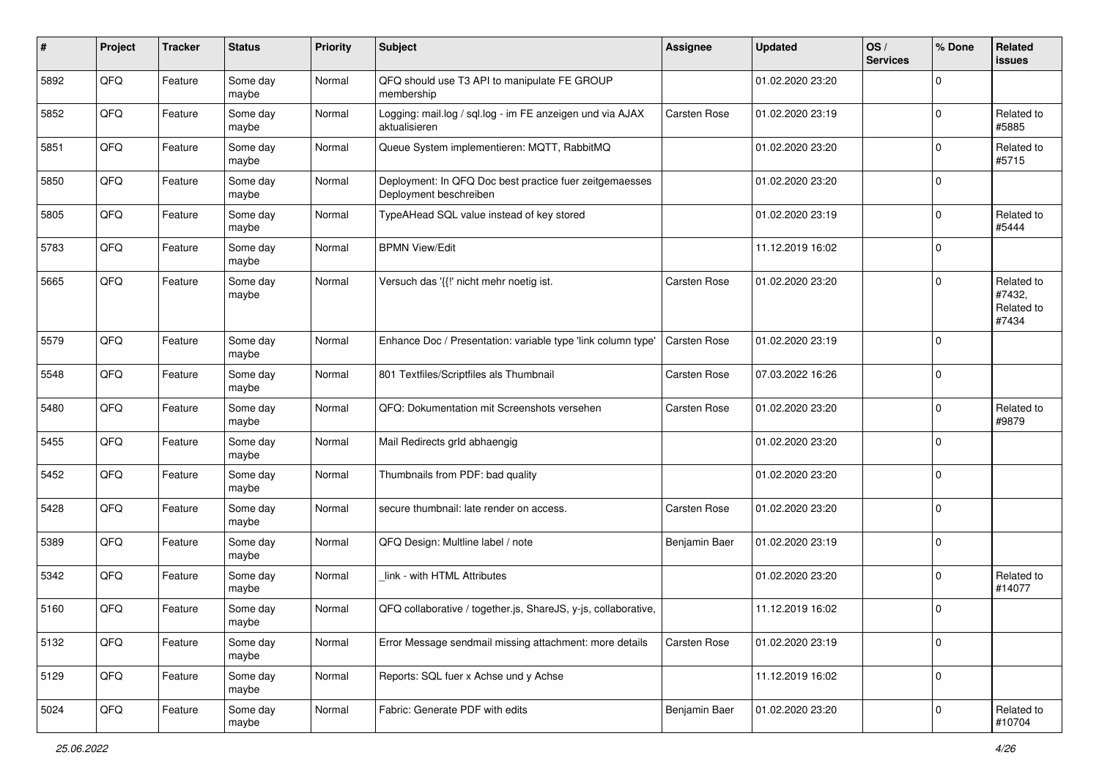| #    | Project | <b>Tracker</b> | <b>Status</b>     | <b>Priority</b> | <b>Subject</b>                                                                    | <b>Assignee</b>     | <b>Updated</b>   | OS/<br><b>Services</b> | % Done      | Related<br>issues                           |
|------|---------|----------------|-------------------|-----------------|-----------------------------------------------------------------------------------|---------------------|------------------|------------------------|-------------|---------------------------------------------|
| 5892 | QFQ     | Feature        | Some day<br>maybe | Normal          | QFQ should use T3 API to manipulate FE GROUP<br>membership                        |                     | 01.02.2020 23:20 |                        | $\mathbf 0$ |                                             |
| 5852 | QFQ     | Feature        | Some day<br>maybe | Normal          | Logging: mail.log / sql.log - im FE anzeigen und via AJAX<br>aktualisieren        | Carsten Rose        | 01.02.2020 23:19 |                        | $\mathbf 0$ | Related to<br>#5885                         |
| 5851 | QFQ     | Feature        | Some day<br>maybe | Normal          | Queue System implementieren: MQTT, RabbitMQ                                       |                     | 01.02.2020 23:20 |                        | $\mathbf 0$ | Related to<br>#5715                         |
| 5850 | QFQ     | Feature        | Some day<br>maybe | Normal          | Deployment: In QFQ Doc best practice fuer zeitgemaesses<br>Deployment beschreiben |                     | 01.02.2020 23:20 |                        | $\mathbf 0$ |                                             |
| 5805 | QFQ     | Feature        | Some day<br>maybe | Normal          | TypeAHead SQL value instead of key stored                                         |                     | 01.02.2020 23:19 |                        | $\mathbf 0$ | Related to<br>#5444                         |
| 5783 | QFQ     | Feature        | Some day<br>maybe | Normal          | <b>BPMN View/Edit</b>                                                             |                     | 11.12.2019 16:02 |                        | $\mathbf 0$ |                                             |
| 5665 | QFQ     | Feature        | Some day<br>maybe | Normal          | Versuch das '{{!' nicht mehr noetig ist.                                          | Carsten Rose        | 01.02.2020 23:20 |                        | $\mathbf 0$ | Related to<br>#7432,<br>Related to<br>#7434 |
| 5579 | QFQ     | Feature        | Some day<br>maybe | Normal          | Enhance Doc / Presentation: variable type 'link column type'                      | Carsten Rose        | 01.02.2020 23:19 |                        | $\mathbf 0$ |                                             |
| 5548 | QFQ     | Feature        | Some day<br>maybe | Normal          | 801 Textfiles/Scriptfiles als Thumbnail                                           | Carsten Rose        | 07.03.2022 16:26 |                        | $\mathbf 0$ |                                             |
| 5480 | QFQ     | Feature        | Some day<br>maybe | Normal          | QFQ: Dokumentation mit Screenshots versehen                                       | <b>Carsten Rose</b> | 01.02.2020 23:20 |                        | $\mathbf 0$ | Related to<br>#9879                         |
| 5455 | QFQ     | Feature        | Some day<br>maybe | Normal          | Mail Redirects grld abhaengig                                                     |                     | 01.02.2020 23:20 |                        | $\mathbf 0$ |                                             |
| 5452 | QFQ     | Feature        | Some day<br>maybe | Normal          | Thumbnails from PDF: bad quality                                                  |                     | 01.02.2020 23:20 |                        | $\mathbf 0$ |                                             |
| 5428 | QFQ     | Feature        | Some day<br>maybe | Normal          | secure thumbnail: late render on access.                                          | Carsten Rose        | 01.02.2020 23:20 |                        | $\mathbf 0$ |                                             |
| 5389 | QFQ     | Feature        | Some day<br>maybe | Normal          | QFQ Design: Multline label / note                                                 | Benjamin Baer       | 01.02.2020 23:19 |                        | $\mathbf 0$ |                                             |
| 5342 | QFQ     | Feature        | Some day<br>maybe | Normal          | link - with HTML Attributes                                                       |                     | 01.02.2020 23:20 |                        | $\mathbf 0$ | Related to<br>#14077                        |
| 5160 | QFQ     | Feature        | Some day<br>maybe | Normal          | QFQ collaborative / together.js, ShareJS, y-js, collaborative,                    |                     | 11.12.2019 16:02 |                        | $\mathbf 0$ |                                             |
| 5132 | QFQ     | Feature        | Some day<br>maybe | Normal          | Error Message sendmail missing attachment: more details                           | Carsten Rose        | 01.02.2020 23:19 |                        | $\mathbf 0$ |                                             |
| 5129 | QFQ     | Feature        | Some day<br>maybe | Normal          | Reports: SQL fuer x Achse und y Achse                                             |                     | 11.12.2019 16:02 |                        | $\mathbf 0$ |                                             |
| 5024 | QFQ     | Feature        | Some day<br>maybe | Normal          | Fabric: Generate PDF with edits                                                   | Benjamin Baer       | 01.02.2020 23:20 |                        | $\mathbf 0$ | Related to<br>#10704                        |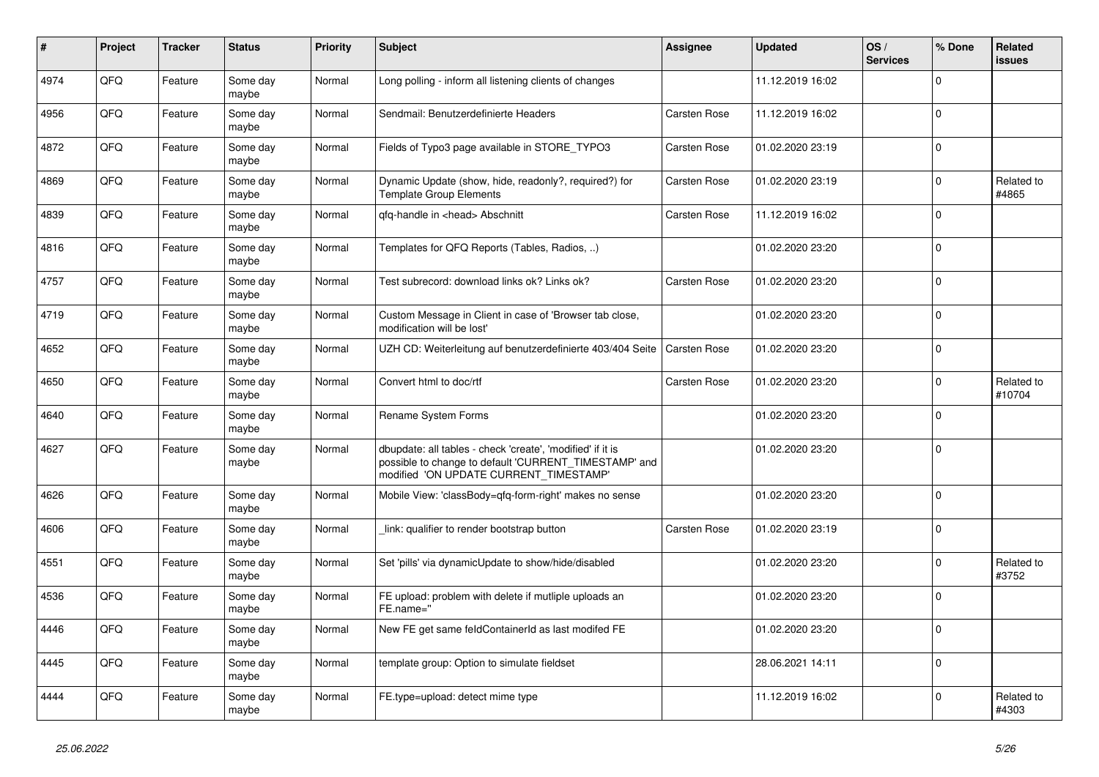| $\pmb{\sharp}$ | Project | <b>Tracker</b> | <b>Status</b>     | <b>Priority</b> | <b>Subject</b>                                                                                                                                                | Assignee     | <b>Updated</b>   | OS/<br><b>Services</b> | % Done      | <b>Related</b><br><b>issues</b> |
|----------------|---------|----------------|-------------------|-----------------|---------------------------------------------------------------------------------------------------------------------------------------------------------------|--------------|------------------|------------------------|-------------|---------------------------------|
| 4974           | QFQ     | Feature        | Some day<br>maybe | Normal          | Long polling - inform all listening clients of changes                                                                                                        |              | 11.12.2019 16:02 |                        | $\Omega$    |                                 |
| 4956           | QFQ     | Feature        | Some day<br>maybe | Normal          | Sendmail: Benutzerdefinierte Headers                                                                                                                          | Carsten Rose | 11.12.2019 16:02 |                        | $\mathbf 0$ |                                 |
| 4872           | QFQ     | Feature        | Some day<br>maybe | Normal          | Fields of Typo3 page available in STORE_TYPO3                                                                                                                 | Carsten Rose | 01.02.2020 23:19 |                        | $\Omega$    |                                 |
| 4869           | QFQ     | Feature        | Some day<br>maybe | Normal          | Dynamic Update (show, hide, readonly?, required?) for<br><b>Template Group Elements</b>                                                                       | Carsten Rose | 01.02.2020 23:19 |                        | $\mathbf 0$ | Related to<br>#4865             |
| 4839           | QFQ     | Feature        | Some day<br>maybe | Normal          | qfq-handle in <head> Abschnitt</head>                                                                                                                         | Carsten Rose | 11.12.2019 16:02 |                        | $\mathbf 0$ |                                 |
| 4816           | QFQ     | Feature        | Some day<br>maybe | Normal          | Templates for QFQ Reports (Tables, Radios, )                                                                                                                  |              | 01.02.2020 23:20 |                        | $\Omega$    |                                 |
| 4757           | QFQ     | Feature        | Some day<br>maybe | Normal          | Test subrecord: download links ok? Links ok?                                                                                                                  | Carsten Rose | 01.02.2020 23:20 |                        | $\mathbf 0$ |                                 |
| 4719           | QFQ     | Feature        | Some day<br>maybe | Normal          | Custom Message in Client in case of 'Browser tab close,<br>modification will be lost'                                                                         |              | 01.02.2020 23:20 |                        | $\mathbf 0$ |                                 |
| 4652           | QFQ     | Feature        | Some day<br>maybe | Normal          | UZH CD: Weiterleitung auf benutzerdefinierte 403/404 Seite                                                                                                    | Carsten Rose | 01.02.2020 23:20 |                        | $\mathbf 0$ |                                 |
| 4650           | QFQ     | Feature        | Some day<br>maybe | Normal          | Convert html to doc/rtf                                                                                                                                       | Carsten Rose | 01.02.2020 23:20 |                        | $\mathbf 0$ | Related to<br>#10704            |
| 4640           | QFQ     | Feature        | Some day<br>maybe | Normal          | Rename System Forms                                                                                                                                           |              | 01.02.2020 23:20 |                        | $\mathbf 0$ |                                 |
| 4627           | QFQ     | Feature        | Some day<br>maybe | Normal          | dbupdate: all tables - check 'create', 'modified' if it is<br>possible to change to default 'CURRENT_TIMESTAMP' and<br>modified 'ON UPDATE CURRENT TIMESTAMP' |              | 01.02.2020 23:20 |                        | $\mathbf 0$ |                                 |
| 4626           | QFQ     | Feature        | Some day<br>maybe | Normal          | Mobile View: 'classBody=qfq-form-right' makes no sense                                                                                                        |              | 01.02.2020 23:20 |                        | $\mathbf 0$ |                                 |
| 4606           | QFQ     | Feature        | Some day<br>maybe | Normal          | link: qualifier to render bootstrap button                                                                                                                    | Carsten Rose | 01.02.2020 23:19 |                        | $\pmb{0}$   |                                 |
| 4551           | QFQ     | Feature        | Some day<br>maybe | Normal          | Set 'pills' via dynamicUpdate to show/hide/disabled                                                                                                           |              | 01.02.2020 23:20 |                        | $\mathbf 0$ | Related to<br>#3752             |
| 4536           | QFQ     | Feature        | Some day<br>maybe | Normal          | FE upload: problem with delete if mutliple uploads an<br>FE.name="                                                                                            |              | 01.02.2020 23:20 |                        | $\pmb{0}$   |                                 |
| 4446           | QFQ     | Feature        | Some day<br>maybe | Normal          | New FE get same feldContainerId as last modifed FE                                                                                                            |              | 01.02.2020 23:20 |                        | $\Omega$    |                                 |
| 4445           | QFQ     | Feature        | Some day<br>maybe | Normal          | template group: Option to simulate fieldset                                                                                                                   |              | 28.06.2021 14:11 |                        | $\mathbf 0$ |                                 |
| 4444           | QFQ     | Feature        | Some day<br>maybe | Normal          | FE.type=upload: detect mime type                                                                                                                              |              | 11.12.2019 16:02 |                        | $\mathbf 0$ | Related to<br>#4303             |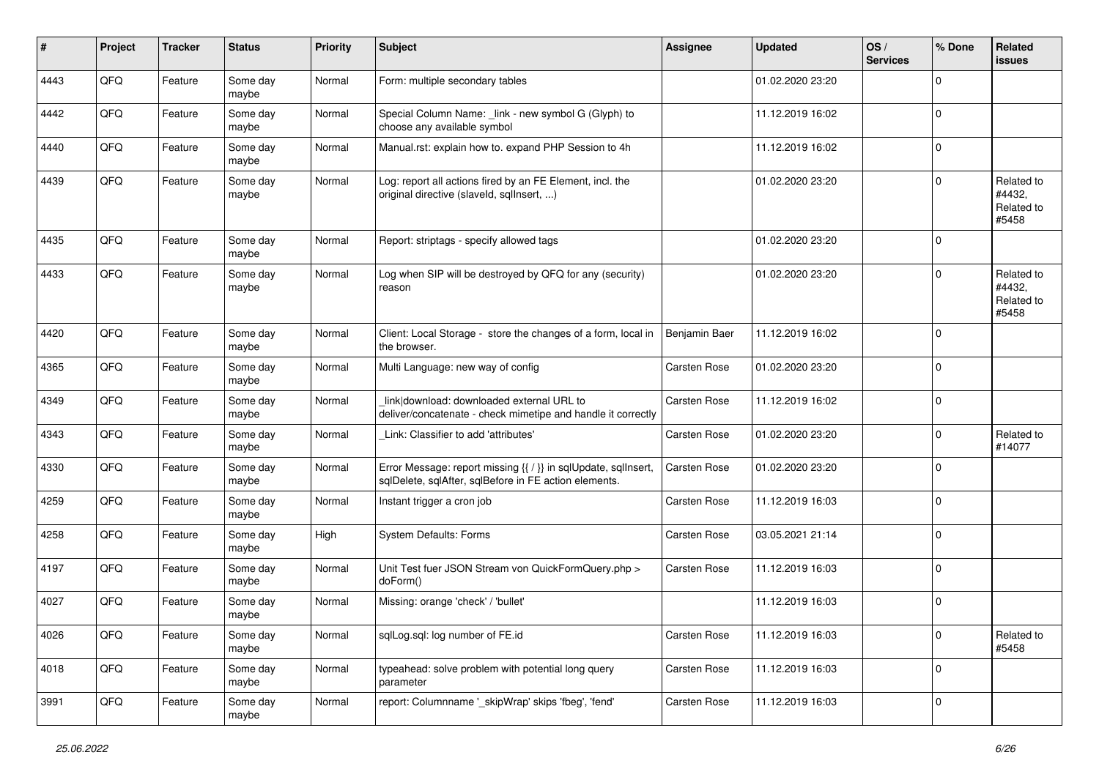| #    | Project | <b>Tracker</b> | <b>Status</b>     | Priority | <b>Subject</b>                                                                                                          | <b>Assignee</b> | <b>Updated</b>   | OS/<br><b>Services</b> | % Done      | <b>Related</b><br><b>issues</b>             |
|------|---------|----------------|-------------------|----------|-------------------------------------------------------------------------------------------------------------------------|-----------------|------------------|------------------------|-------------|---------------------------------------------|
| 4443 | QFQ     | Feature        | Some day<br>maybe | Normal   | Form: multiple secondary tables                                                                                         |                 | 01.02.2020 23:20 |                        | $\Omega$    |                                             |
| 4442 | QFQ     | Feature        | Some day<br>maybe | Normal   | Special Column Name: _link - new symbol G (Glyph) to<br>choose any available symbol                                     |                 | 11.12.2019 16:02 |                        | $\mathbf 0$ |                                             |
| 4440 | QFQ     | Feature        | Some day<br>maybe | Normal   | Manual.rst: explain how to. expand PHP Session to 4h                                                                    |                 | 11.12.2019 16:02 |                        | $\mathbf 0$ |                                             |
| 4439 | QFQ     | Feature        | Some day<br>maybe | Normal   | Log: report all actions fired by an FE Element, incl. the<br>original directive (slaveld, sqllnsert, )                  |                 | 01.02.2020 23:20 |                        | $\mathbf 0$ | Related to<br>#4432,<br>Related to<br>#5458 |
| 4435 | QFQ     | Feature        | Some day<br>maybe | Normal   | Report: striptags - specify allowed tags                                                                                |                 | 01.02.2020 23:20 |                        | $\Omega$    |                                             |
| 4433 | QFQ     | Feature        | Some day<br>maybe | Normal   | Log when SIP will be destroyed by QFQ for any (security)<br>reason                                                      |                 | 01.02.2020 23:20 |                        | $\Omega$    | Related to<br>#4432,<br>Related to<br>#5458 |
| 4420 | QFQ     | Feature        | Some day<br>maybe | Normal   | Client: Local Storage - store the changes of a form, local in<br>the browser.                                           | Benjamin Baer   | 11.12.2019 16:02 |                        | $\mathbf 0$ |                                             |
| 4365 | QFQ     | Feature        | Some day<br>maybe | Normal   | Multi Language: new way of config                                                                                       | Carsten Rose    | 01.02.2020 23:20 |                        | $\mathbf 0$ |                                             |
| 4349 | QFQ     | Feature        | Some day<br>maybe | Normal   | link download: downloaded external URL to<br>deliver/concatenate - check mimetipe and handle it correctly               | Carsten Rose    | 11.12.2019 16:02 |                        | $\mathbf 0$ |                                             |
| 4343 | QFQ     | Feature        | Some day<br>maybe | Normal   | Link: Classifier to add 'attributes'                                                                                    | Carsten Rose    | 01.02.2020 23:20 |                        | $\mathbf 0$ | Related to<br>#14077                        |
| 4330 | QFQ     | Feature        | Some day<br>maybe | Normal   | Error Message: report missing {{ / }} in sqlUpdate, sqlInsert,<br>sqlDelete, sqlAfter, sqlBefore in FE action elements. | Carsten Rose    | 01.02.2020 23:20 |                        | $\Omega$    |                                             |
| 4259 | QFQ     | Feature        | Some day<br>maybe | Normal   | Instant trigger a cron job                                                                                              | Carsten Rose    | 11.12.2019 16:03 |                        | $\mathbf 0$ |                                             |
| 4258 | QFQ     | Feature        | Some day<br>maybe | High     | System Defaults: Forms                                                                                                  | Carsten Rose    | 03.05.2021 21:14 |                        | $\mathbf 0$ |                                             |
| 4197 | QFQ     | Feature        | Some day<br>maybe | Normal   | Unit Test fuer JSON Stream von QuickFormQuery.php ><br>doForm()                                                         | Carsten Rose    | 11.12.2019 16:03 |                        | $\mathbf 0$ |                                             |
| 4027 | QFQ     | Feature        | Some day<br>maybe | Normal   | Missing: orange 'check' / 'bullet'                                                                                      |                 | 11.12.2019 16:03 |                        | $\mathbf 0$ |                                             |
| 4026 | QFQ     | Feature        | Some day<br>maybe | Normal   | sqlLog.sql: log number of FE.id                                                                                         | Carsten Rose    | 11.12.2019 16:03 |                        | $\mathbf 0$ | Related to<br>#5458                         |
| 4018 | QFQ     | Feature        | Some day<br>maybe | Normal   | typeahead: solve problem with potential long query<br>parameter                                                         | Carsten Rose    | 11.12.2019 16:03 |                        | $\mathbf 0$ |                                             |
| 3991 | QFQ     | Feature        | Some day<br>maybe | Normal   | report: Columnname '_skipWrap' skips 'fbeg', 'fend'                                                                     | Carsten Rose    | 11.12.2019 16:03 |                        | $\mathbf 0$ |                                             |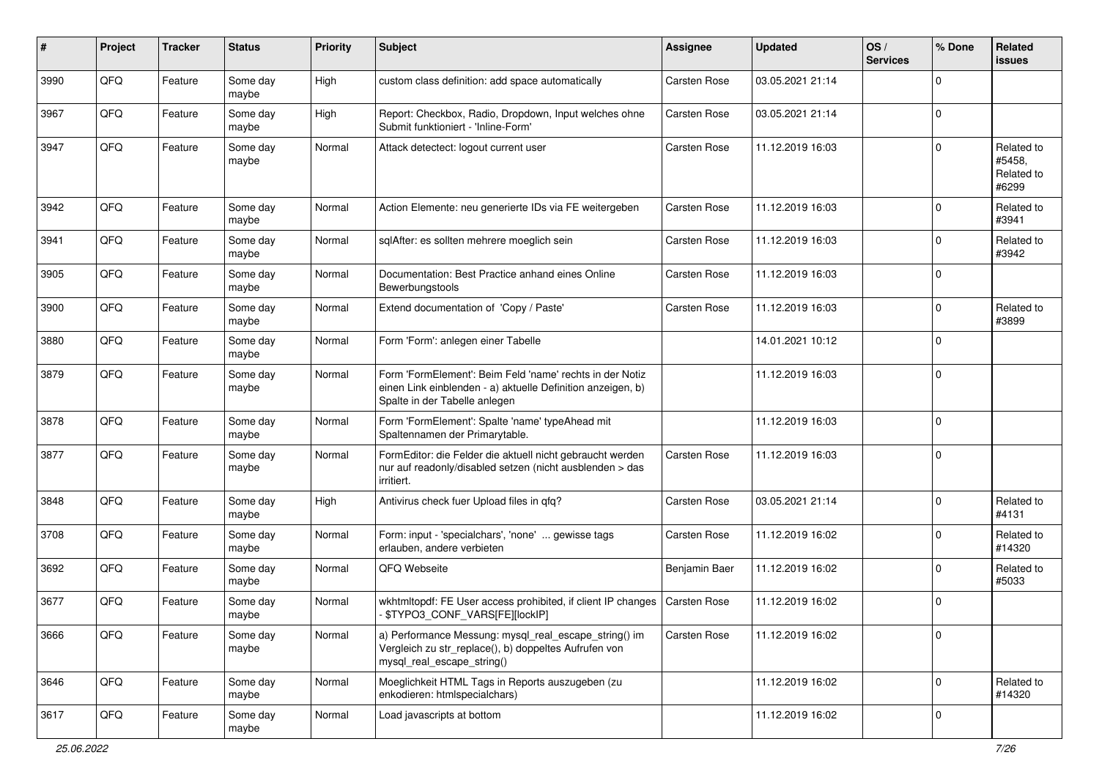| #    | Project | <b>Tracker</b> | <b>Status</b>     | <b>Priority</b> | <b>Subject</b>                                                                                                                                           | <b>Assignee</b>     | <b>Updated</b>   | OS/<br><b>Services</b> | % Done      | Related<br><b>issues</b>                    |
|------|---------|----------------|-------------------|-----------------|----------------------------------------------------------------------------------------------------------------------------------------------------------|---------------------|------------------|------------------------|-------------|---------------------------------------------|
| 3990 | QFQ     | Feature        | Some day<br>maybe | High            | custom class definition: add space automatically                                                                                                         | Carsten Rose        | 03.05.2021 21:14 |                        | $\Omega$    |                                             |
| 3967 | QFQ     | Feature        | Some day<br>maybe | High            | Report: Checkbox, Radio, Dropdown, Input welches ohne<br>Submit funktioniert - 'Inline-Form'                                                             | Carsten Rose        | 03.05.2021 21:14 |                        | $\mathbf 0$ |                                             |
| 3947 | QFQ     | Feature        | Some day<br>maybe | Normal          | Attack detectect: logout current user                                                                                                                    | Carsten Rose        | 11.12.2019 16:03 |                        | $\mathbf 0$ | Related to<br>#5458,<br>Related to<br>#6299 |
| 3942 | QFQ     | Feature        | Some day<br>maybe | Normal          | Action Elemente: neu generierte IDs via FE weitergeben                                                                                                   | Carsten Rose        | 11.12.2019 16:03 |                        | $\mathbf 0$ | Related to<br>#3941                         |
| 3941 | QFQ     | Feature        | Some day<br>maybe | Normal          | sqlAfter: es sollten mehrere moeglich sein                                                                                                               | Carsten Rose        | 11.12.2019 16:03 |                        | 0           | Related to<br>#3942                         |
| 3905 | QFQ     | Feature        | Some day<br>maybe | Normal          | Documentation: Best Practice anhand eines Online<br>Bewerbungstools                                                                                      | Carsten Rose        | 11.12.2019 16:03 |                        | $\mathbf 0$ |                                             |
| 3900 | QFQ     | Feature        | Some day<br>maybe | Normal          | Extend documentation of 'Copy / Paste'                                                                                                                   | Carsten Rose        | 11.12.2019 16:03 |                        | $\mathbf 0$ | Related to<br>#3899                         |
| 3880 | QFQ     | Feature        | Some day<br>maybe | Normal          | Form 'Form': anlegen einer Tabelle                                                                                                                       |                     | 14.01.2021 10:12 |                        | $\mathbf 0$ |                                             |
| 3879 | QFQ     | Feature        | Some day<br>maybe | Normal          | Form 'FormElement': Beim Feld 'name' rechts in der Notiz<br>einen Link einblenden - a) aktuelle Definition anzeigen, b)<br>Spalte in der Tabelle anlegen |                     | 11.12.2019 16:03 |                        | $\mathbf 0$ |                                             |
| 3878 | QFQ     | Feature        | Some day<br>maybe | Normal          | Form 'FormElement': Spalte 'name' typeAhead mit<br>Spaltennamen der Primarytable.                                                                        |                     | 11.12.2019 16:03 |                        | $\mathbf 0$ |                                             |
| 3877 | QFQ     | Feature        | Some day<br>maybe | Normal          | FormEditor: die Felder die aktuell nicht gebraucht werden<br>nur auf readonly/disabled setzen (nicht ausblenden > das<br>irritiert.                      | Carsten Rose        | 11.12.2019 16:03 |                        | $\mathbf 0$ |                                             |
| 3848 | QFQ     | Feature        | Some day<br>maybe | High            | Antivirus check fuer Upload files in qfq?                                                                                                                | Carsten Rose        | 03.05.2021 21:14 |                        | $\mathbf 0$ | Related to<br>#4131                         |
| 3708 | QFQ     | Feature        | Some day<br>maybe | Normal          | Form: input - 'specialchars', 'none'  gewisse tags<br>erlauben, andere verbieten                                                                         | Carsten Rose        | 11.12.2019 16:02 |                        | $\mathbf 0$ | Related to<br>#14320                        |
| 3692 | QFQ     | Feature        | Some day<br>maybe | Normal          | QFQ Webseite                                                                                                                                             | Benjamin Baer       | 11.12.2019 16:02 |                        | $\mathbf 0$ | Related to<br>#5033                         |
| 3677 | QFQ     | Feature        | Some day<br>maybe | Normal          | wkhtmltopdf: FE User access prohibited, if client IP changes<br>- \$TYPO3 CONF VARS[FE][lockIP]                                                          | <b>Carsten Rose</b> | 11.12.2019 16:02 |                        | $\mathbf 0$ |                                             |
| 3666 | QFQ     | Feature        | Some day<br>maybe | Normal          | a) Performance Messung: mysql_real_escape_string() im<br>Vergleich zu str_replace(), b) doppeltes Aufrufen von<br>mysql_real_escape_string()             | Carsten Rose        | 11.12.2019 16:02 |                        | $\mathbf 0$ |                                             |
| 3646 | QFQ     | Feature        | Some day<br>maybe | Normal          | Moeglichkeit HTML Tags in Reports auszugeben (zu<br>enkodieren: htmlspecialchars)                                                                        |                     | 11.12.2019 16:02 |                        | $\mathbf 0$ | Related to<br>#14320                        |
| 3617 | QFQ     | Feature        | Some day<br>maybe | Normal          | Load javascripts at bottom                                                                                                                               |                     | 11.12.2019 16:02 |                        | 0           |                                             |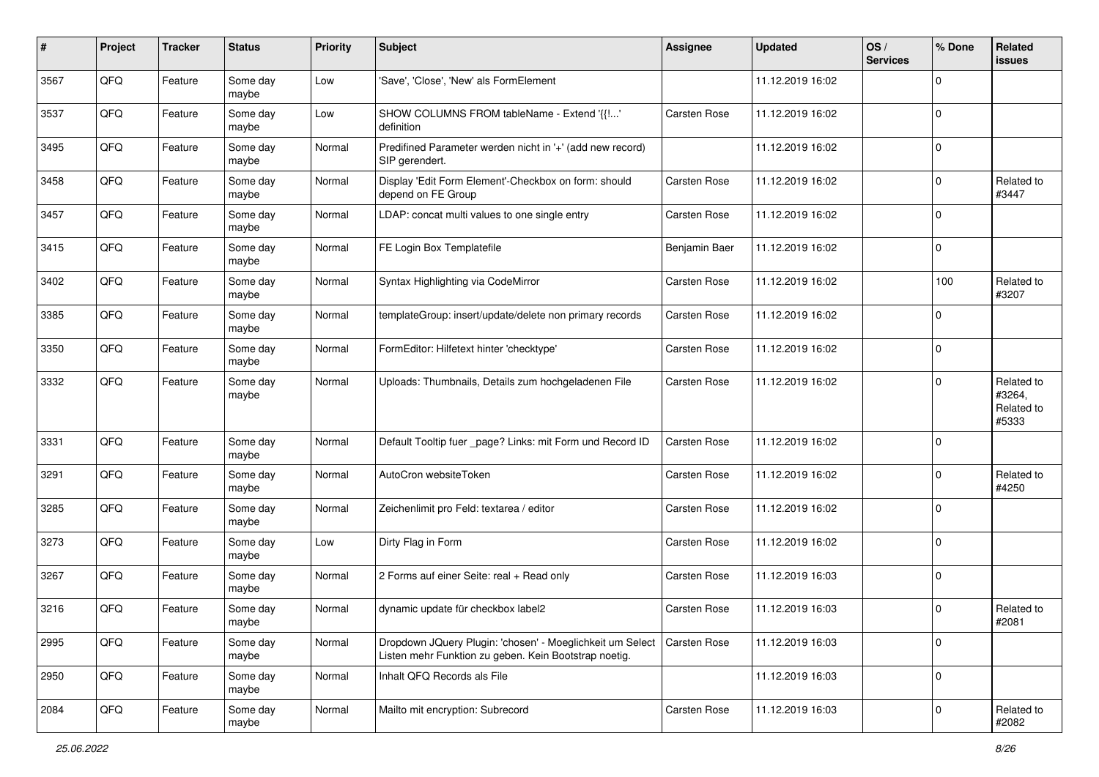| #    | Project | <b>Tracker</b> | <b>Status</b>     | <b>Priority</b> | <b>Subject</b>                                                                                                     | <b>Assignee</b> | <b>Updated</b>   | OS/<br><b>Services</b> | % Done      | <b>Related</b><br>issues                    |
|------|---------|----------------|-------------------|-----------------|--------------------------------------------------------------------------------------------------------------------|-----------------|------------------|------------------------|-------------|---------------------------------------------|
| 3567 | QFQ     | Feature        | Some day<br>maybe | Low             | 'Save', 'Close', 'New' als FormElement                                                                             |                 | 11.12.2019 16:02 |                        | $\mathbf 0$ |                                             |
| 3537 | QFQ     | Feature        | Some day<br>maybe | Low             | SHOW COLUMNS FROM tableName - Extend '{{!'<br>definition                                                           | Carsten Rose    | 11.12.2019 16:02 |                        | $\mathbf 0$ |                                             |
| 3495 | QFQ     | Feature        | Some day<br>maybe | Normal          | Predifined Parameter werden nicht in '+' (add new record)<br>SIP gerendert.                                        |                 | 11.12.2019 16:02 |                        | $\mathbf 0$ |                                             |
| 3458 | QFQ     | Feature        | Some day<br>maybe | Normal          | Display 'Edit Form Element'-Checkbox on form: should<br>depend on FE Group                                         | Carsten Rose    | 11.12.2019 16:02 |                        | 0           | Related to<br>#3447                         |
| 3457 | QFQ     | Feature        | Some day<br>maybe | Normal          | LDAP: concat multi values to one single entry                                                                      | Carsten Rose    | 11.12.2019 16:02 |                        | $\mathbf 0$ |                                             |
| 3415 | QFQ     | Feature        | Some day<br>maybe | Normal          | FE Login Box Templatefile                                                                                          | Benjamin Baer   | 11.12.2019 16:02 |                        | $\mathbf 0$ |                                             |
| 3402 | QFQ     | Feature        | Some day<br>maybe | Normal          | Syntax Highlighting via CodeMirror                                                                                 | Carsten Rose    | 11.12.2019 16:02 |                        | 100         | Related to<br>#3207                         |
| 3385 | QFQ     | Feature        | Some day<br>maybe | Normal          | templateGroup: insert/update/delete non primary records                                                            | Carsten Rose    | 11.12.2019 16:02 |                        | $\mathbf 0$ |                                             |
| 3350 | QFQ     | Feature        | Some day<br>maybe | Normal          | FormEditor: Hilfetext hinter 'checktype'                                                                           | Carsten Rose    | 11.12.2019 16:02 |                        | $\mathbf 0$ |                                             |
| 3332 | QFQ     | Feature        | Some day<br>maybe | Normal          | Uploads: Thumbnails, Details zum hochgeladenen File                                                                | Carsten Rose    | 11.12.2019 16:02 |                        | 0           | Related to<br>#3264,<br>Related to<br>#5333 |
| 3331 | QFQ     | Feature        | Some day<br>maybe | Normal          | Default Tooltip fuer _page? Links: mit Form und Record ID                                                          | Carsten Rose    | 11.12.2019 16:02 |                        | $\mathbf 0$ |                                             |
| 3291 | QFQ     | Feature        | Some day<br>maybe | Normal          | AutoCron websiteToken                                                                                              | Carsten Rose    | 11.12.2019 16:02 |                        | 0           | Related to<br>#4250                         |
| 3285 | QFQ     | Feature        | Some day<br>maybe | Normal          | Zeichenlimit pro Feld: textarea / editor                                                                           | Carsten Rose    | 11.12.2019 16:02 |                        | $\mathbf 0$ |                                             |
| 3273 | QFQ     | Feature        | Some day<br>maybe | Low             | Dirty Flag in Form                                                                                                 | Carsten Rose    | 11.12.2019 16:02 |                        | $\mathbf 0$ |                                             |
| 3267 | QFQ     | Feature        | Some day<br>maybe | Normal          | 2 Forms auf einer Seite: real + Read only                                                                          | Carsten Rose    | 11.12.2019 16:03 |                        | $\mathbf 0$ |                                             |
| 3216 | QFQ     | Feature        | Some day<br>maybe | Normal          | dynamic update für checkbox label2                                                                                 | Carsten Rose    | 11.12.2019 16:03 |                        | 0           | Related to<br>#2081                         |
| 2995 | QFQ     | Feature        | Some day<br>maybe | Normal          | Dropdown JQuery Plugin: 'chosen' - Moeglichkeit um Select<br>Listen mehr Funktion zu geben. Kein Bootstrap noetig. | Carsten Rose    | 11.12.2019 16:03 |                        | $\mathbf 0$ |                                             |
| 2950 | QFQ     | Feature        | Some day<br>maybe | Normal          | Inhalt QFQ Records als File                                                                                        |                 | 11.12.2019 16:03 |                        | $\mathbf 0$ |                                             |
| 2084 | QFQ     | Feature        | Some day<br>maybe | Normal          | Mailto mit encryption: Subrecord                                                                                   | Carsten Rose    | 11.12.2019 16:03 |                        | $\mathbf 0$ | Related to<br>#2082                         |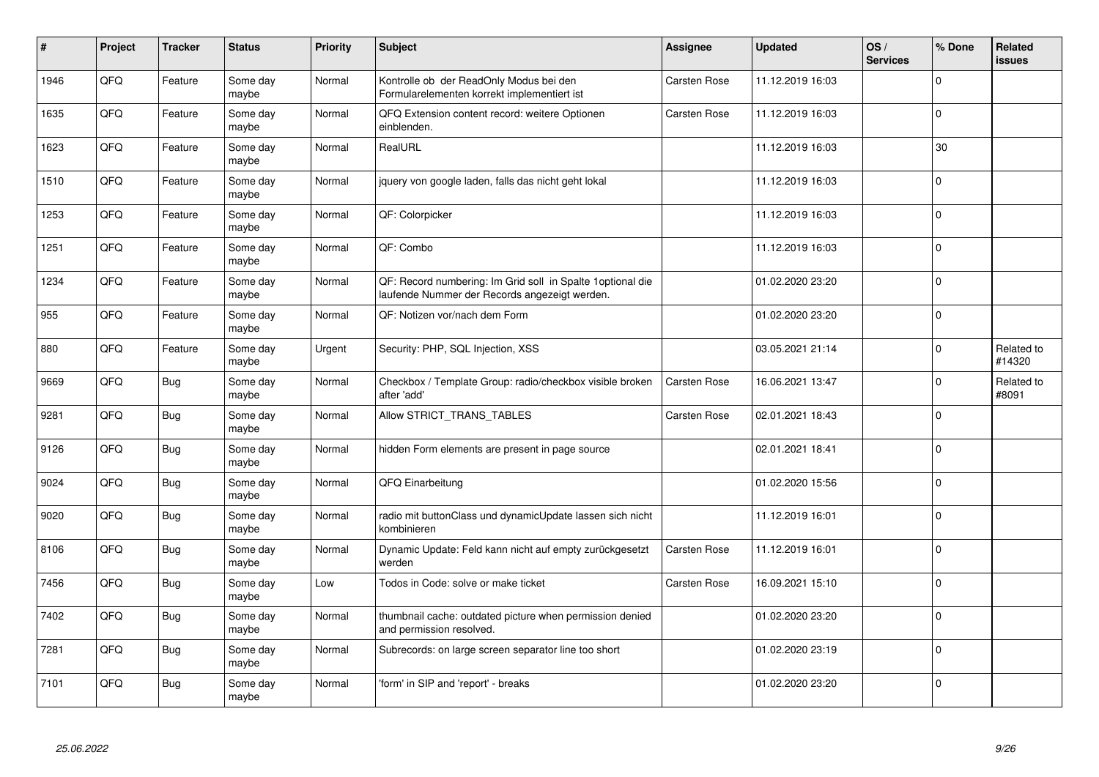| $\vert$ # | Project | <b>Tracker</b> | <b>Status</b>     | <b>Priority</b> | <b>Subject</b>                                                                                               | Assignee            | <b>Updated</b>   | OS/<br><b>Services</b> | % Done      | Related<br><b>issues</b> |
|-----------|---------|----------------|-------------------|-----------------|--------------------------------------------------------------------------------------------------------------|---------------------|------------------|------------------------|-------------|--------------------------|
| 1946      | QFQ     | Feature        | Some day<br>maybe | Normal          | Kontrolle ob der ReadOnly Modus bei den<br>Formularelementen korrekt implementiert ist                       | <b>Carsten Rose</b> | 11.12.2019 16:03 |                        | $\Omega$    |                          |
| 1635      | QFQ     | Feature        | Some day<br>maybe | Normal          | QFQ Extension content record: weitere Optionen<br>einblenden.                                                | <b>Carsten Rose</b> | 11.12.2019 16:03 |                        | $\Omega$    |                          |
| 1623      | QFQ     | Feature        | Some day<br>maybe | Normal          | RealURL                                                                                                      |                     | 11.12.2019 16:03 |                        | 30          |                          |
| 1510      | QFQ     | Feature        | Some day<br>maybe | Normal          | jquery von google laden, falls das nicht geht lokal                                                          |                     | 11.12.2019 16:03 |                        | $\Omega$    |                          |
| 1253      | QFQ     | Feature        | Some day<br>maybe | Normal          | QF: Colorpicker                                                                                              |                     | 11.12.2019 16:03 |                        | $\mathbf 0$ |                          |
| 1251      | QFQ     | Feature        | Some day<br>maybe | Normal          | QF: Combo                                                                                                    |                     | 11.12.2019 16:03 |                        | $\mathbf 0$ |                          |
| 1234      | QFQ     | Feature        | Some day<br>maybe | Normal          | QF: Record numbering: Im Grid soll in Spalte 1 optional die<br>laufende Nummer der Records angezeigt werden. |                     | 01.02.2020 23:20 |                        | $\mathbf 0$ |                          |
| 955       | QFQ     | Feature        | Some day<br>maybe | Normal          | QF: Notizen vor/nach dem Form                                                                                |                     | 01.02.2020 23:20 |                        | $\Omega$    |                          |
| 880       | QFQ     | Feature        | Some day<br>maybe | Urgent          | Security: PHP, SQL Injection, XSS                                                                            |                     | 03.05.2021 21:14 |                        | $\Omega$    | Related to<br>#14320     |
| 9669      | QFQ     | <b>Bug</b>     | Some day<br>maybe | Normal          | Checkbox / Template Group: radio/checkbox visible broken<br>after 'add'                                      | <b>Carsten Rose</b> | 16.06.2021 13:47 |                        | $\Omega$    | Related to<br>#8091      |
| 9281      | QFQ     | Bug            | Some day<br>maybe | Normal          | Allow STRICT_TRANS_TABLES                                                                                    | Carsten Rose        | 02.01.2021 18:43 |                        | $\Omega$    |                          |
| 9126      | QFQ     | Bug            | Some day<br>maybe | Normal          | hidden Form elements are present in page source                                                              |                     | 02.01.2021 18:41 |                        | $\Omega$    |                          |
| 9024      | QFQ     | Bug            | Some day<br>maybe | Normal          | QFQ Einarbeitung                                                                                             |                     | 01.02.2020 15:56 |                        | $\mathbf 0$ |                          |
| 9020      | QFQ     | <b>Bug</b>     | Some day<br>maybe | Normal          | radio mit buttonClass und dynamicUpdate lassen sich nicht<br>kombinieren                                     |                     | 11.12.2019 16:01 |                        | $\mathbf 0$ |                          |
| 8106      | QFQ     | <b>Bug</b>     | Some day<br>maybe | Normal          | Dynamic Update: Feld kann nicht auf empty zurückgesetzt<br>werden                                            | Carsten Rose        | 11.12.2019 16:01 |                        | $\Omega$    |                          |
| 7456      | QFQ     | <b>Bug</b>     | Some day<br>maybe | Low             | Todos in Code: solve or make ticket                                                                          | Carsten Rose        | 16.09.2021 15:10 |                        | $\Omega$    |                          |
| 7402      | QFQ     | <b>Bug</b>     | Some day<br>maybe | Normal          | thumbnail cache: outdated picture when permission denied<br>and permission resolved.                         |                     | 01.02.2020 23:20 |                        | $\pmb{0}$   |                          |
| 7281      | QFQ     | <b>Bug</b>     | Some day<br>maybe | Normal          | Subrecords: on large screen separator line too short                                                         |                     | 01.02.2020 23:19 |                        | $\Omega$    |                          |
| 7101      | QFQ     | <b>Bug</b>     | Some day<br>maybe | Normal          | 'form' in SIP and 'report' - breaks                                                                          |                     | 01.02.2020 23:20 |                        | $\Omega$    |                          |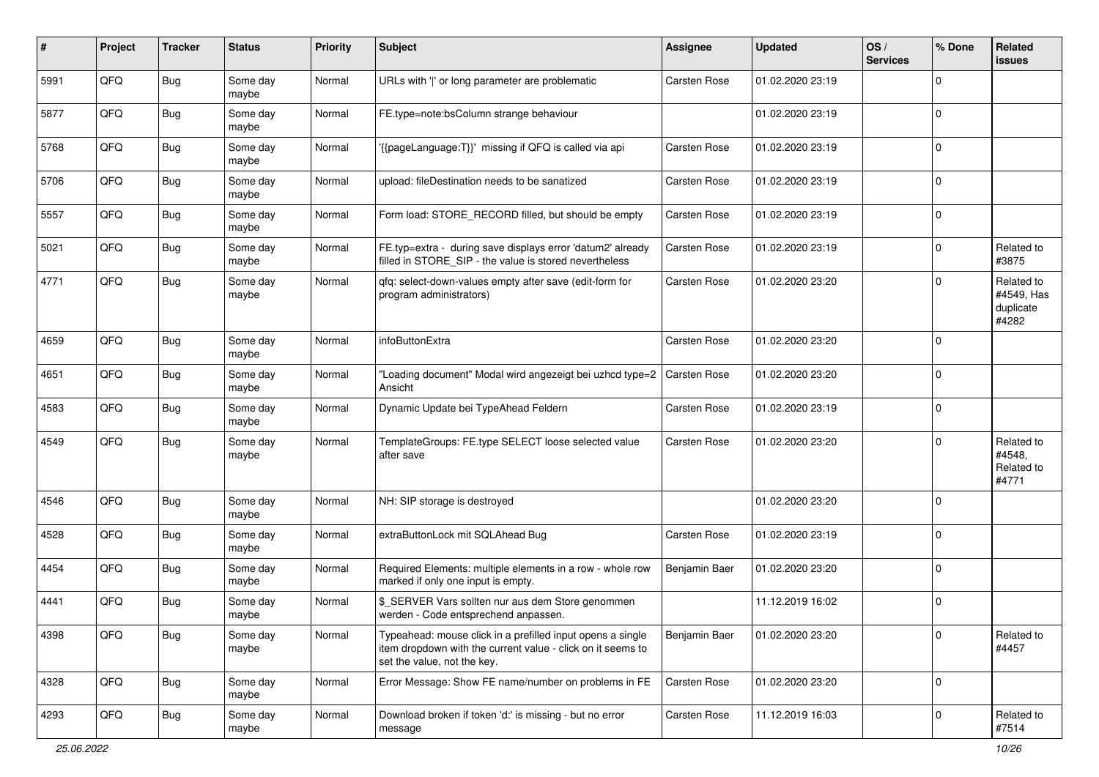| #    | Project | <b>Tracker</b> | <b>Status</b>     | <b>Priority</b> | Subject                                                                                                                                                  | Assignee            | <b>Updated</b>   | OS/<br><b>Services</b> | % Done      | Related<br><b>issues</b>                       |
|------|---------|----------------|-------------------|-----------------|----------------------------------------------------------------------------------------------------------------------------------------------------------|---------------------|------------------|------------------------|-------------|------------------------------------------------|
| 5991 | QFQ     | <b>Bug</b>     | Some day<br>maybe | Normal          | URLs with ' ' or long parameter are problematic                                                                                                          | Carsten Rose        | 01.02.2020 23:19 |                        | $\Omega$    |                                                |
| 5877 | QFQ     | Bug            | Some day<br>maybe | Normal          | FE.type=note:bsColumn strange behaviour                                                                                                                  |                     | 01.02.2020 23:19 |                        | $\mathbf 0$ |                                                |
| 5768 | QFQ     | <b>Bug</b>     | Some day<br>maybe | Normal          | '{{pageLanguage:T}}' missing if QFQ is called via api                                                                                                    | Carsten Rose        | 01.02.2020 23:19 |                        | $\Omega$    |                                                |
| 5706 | QFQ     | <b>Bug</b>     | Some day<br>maybe | Normal          | upload: fileDestination needs to be sanatized                                                                                                            | Carsten Rose        | 01.02.2020 23:19 |                        | $\mathbf 0$ |                                                |
| 5557 | QFQ     | <b>Bug</b>     | Some day<br>maybe | Normal          | Form load: STORE_RECORD filled, but should be empty                                                                                                      | Carsten Rose        | 01.02.2020 23:19 |                        | $\mathbf 0$ |                                                |
| 5021 | QFQ     | Bug            | Some day<br>maybe | Normal          | FE.typ=extra - during save displays error 'datum2' already<br>filled in STORE_SIP - the value is stored nevertheless                                     | Carsten Rose        | 01.02.2020 23:19 |                        | $\Omega$    | Related to<br>#3875                            |
| 4771 | QFQ     | Bug            | Some day<br>maybe | Normal          | gfg: select-down-values empty after save (edit-form for<br>program administrators)                                                                       | Carsten Rose        | 01.02.2020 23:20 |                        | $\Omega$    | Related to<br>#4549, Has<br>duplicate<br>#4282 |
| 4659 | QFQ     | <b>Bug</b>     | Some day<br>maybe | Normal          | infoButtonExtra                                                                                                                                          | Carsten Rose        | 01.02.2020 23:20 |                        | $\Omega$    |                                                |
| 4651 | QFQ     | Bug            | Some day<br>maybe | Normal          | "Loading document" Modal wird angezeigt bei uzhcd type=2<br>Ansicht                                                                                      | <b>Carsten Rose</b> | 01.02.2020 23:20 |                        | $\Omega$    |                                                |
| 4583 | QFQ     | <b>Bug</b>     | Some day<br>maybe | Normal          | Dynamic Update bei TypeAhead Feldern                                                                                                                     | Carsten Rose        | 01.02.2020 23:19 |                        | $\mathbf 0$ |                                                |
| 4549 | QFQ     | <b>Bug</b>     | Some day<br>maybe | Normal          | TemplateGroups: FE.type SELECT loose selected value<br>after save                                                                                        | Carsten Rose        | 01.02.2020 23:20 |                        | $\Omega$    | Related to<br>#4548,<br>Related to<br>#4771    |
| 4546 | QFQ     | <b>Bug</b>     | Some day<br>maybe | Normal          | NH: SIP storage is destroyed                                                                                                                             |                     | 01.02.2020 23:20 |                        | $\mathbf 0$ |                                                |
| 4528 | QFQ     | Bug            | Some day<br>maybe | Normal          | extraButtonLock mit SQLAhead Bug                                                                                                                         | Carsten Rose        | 01.02.2020 23:19 |                        | $\mathbf 0$ |                                                |
| 4454 | QFQ     | Bug            | Some day<br>maybe | Normal          | Required Elements: multiple elements in a row - whole row<br>marked if only one input is empty.                                                          | Benjamin Baer       | 01.02.2020 23:20 |                        | $\mathbf 0$ |                                                |
| 4441 | QFQ     | <b>Bug</b>     | Some day<br>maybe | Normal          | \$_SERVER Vars sollten nur aus dem Store genommen<br>werden - Code entsprechend anpassen.                                                                |                     | 11.12.2019 16:02 |                        | $\mathbf 0$ |                                                |
| 4398 | QFG     | Bug            | Some day<br>maybe | Normal          | Typeahead: mouse click in a prefilled input opens a single<br>item dropdown with the current value - click on it seems to<br>set the value, not the key. | Benjamin Baer       | 01.02.2020 23:20 |                        | $\mathbf 0$ | Related to<br>#4457                            |
| 4328 | QFQ     | <b>Bug</b>     | Some day<br>maybe | Normal          | Error Message: Show FE name/number on problems in FE                                                                                                     | Carsten Rose        | 01.02.2020 23:20 |                        | $\mathbf 0$ |                                                |
| 4293 | QFQ     | Bug            | Some day<br>maybe | Normal          | Download broken if token 'd:' is missing - but no error<br>message                                                                                       | Carsten Rose        | 11.12.2019 16:03 |                        | 0           | Related to<br>#7514                            |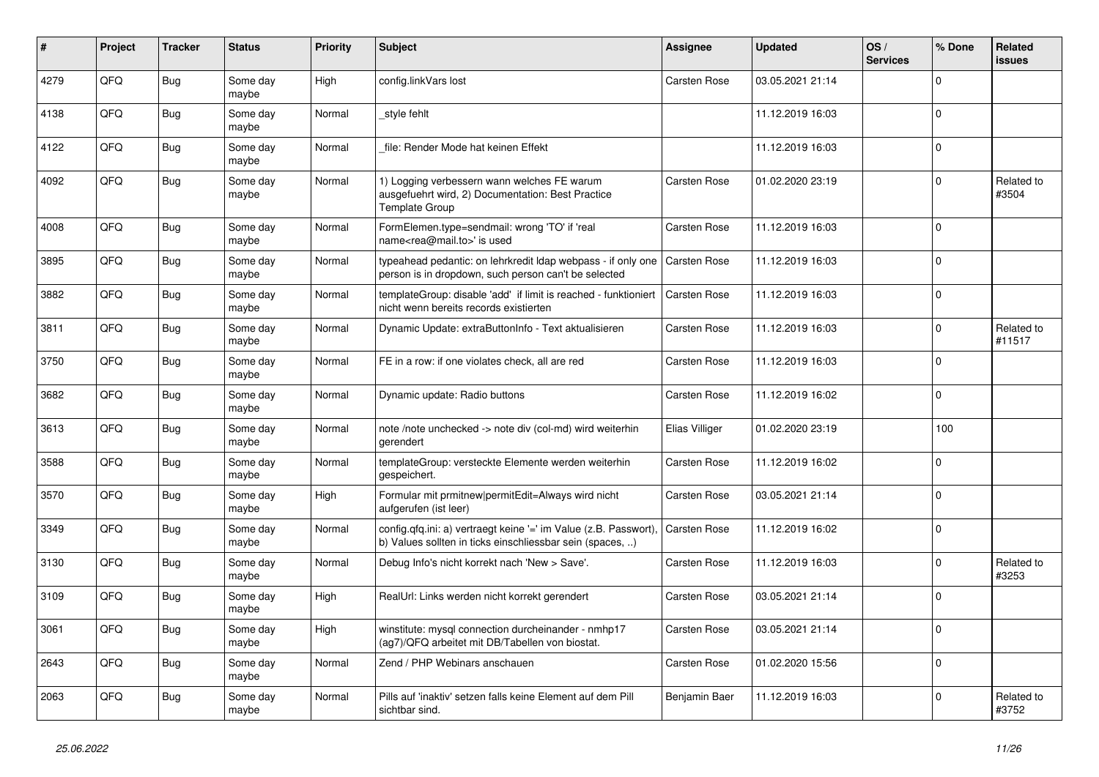| #    | <b>Project</b> | <b>Tracker</b> | <b>Status</b>     | <b>Priority</b> | <b>Subject</b>                                                                                                                | Assignee            | <b>Updated</b>   | OS/<br><b>Services</b> | % Done      | Related<br><b>issues</b> |
|------|----------------|----------------|-------------------|-----------------|-------------------------------------------------------------------------------------------------------------------------------|---------------------|------------------|------------------------|-------------|--------------------------|
| 4279 | QFQ            | <b>Bug</b>     | Some day<br>maybe | High            | config.linkVars lost                                                                                                          | Carsten Rose        | 03.05.2021 21:14 |                        | $\mathbf 0$ |                          |
| 4138 | QFQ            | <b>Bug</b>     | Some day<br>maybe | Normal          | style fehlt                                                                                                                   |                     | 11.12.2019 16:03 |                        | $\Omega$    |                          |
| 4122 | QFQ            | Bug            | Some day<br>maybe | Normal          | file: Render Mode hat keinen Effekt                                                                                           |                     | 11.12.2019 16:03 |                        | $\mathbf 0$ |                          |
| 4092 | QFQ            | <b>Bug</b>     | Some day<br>maybe | Normal          | 1) Logging verbessern wann welches FE warum<br>ausgefuehrt wird, 2) Documentation: Best Practice<br><b>Template Group</b>     | <b>Carsten Rose</b> | 01.02.2020 23:19 |                        | $\mathbf 0$ | Related to<br>#3504      |
| 4008 | QFQ            | Bug            | Some day<br>maybe | Normal          | FormElemen.type=sendmail: wrong 'TO' if 'real<br>name <rea@mail.to>' is used</rea@mail.to>                                    | <b>Carsten Rose</b> | 11.12.2019 16:03 |                        | $\mathsf 0$ |                          |
| 3895 | QFQ            | <b>Bug</b>     | Some day<br>maybe | Normal          | typeahead pedantic: on lehrkredit Idap webpass - if only one<br>person is in dropdown, such person can't be selected          | Carsten Rose        | 11.12.2019 16:03 |                        | $\mathbf 0$ |                          |
| 3882 | QFQ            | <b>Bug</b>     | Some day<br>maybe | Normal          | templateGroup: disable 'add' if limit is reached - funktioniert<br>nicht wenn bereits records existierten                     | <b>Carsten Rose</b> | 11.12.2019 16:03 |                        | $\mathbf 0$ |                          |
| 3811 | QFQ            | Bug            | Some day<br>maybe | Normal          | Dynamic Update: extraButtonInfo - Text aktualisieren                                                                          | <b>Carsten Rose</b> | 11.12.2019 16:03 |                        | $\mathbf 0$ | Related to<br>#11517     |
| 3750 | QFQ            | Bug            | Some day<br>maybe | Normal          | FE in a row: if one violates check, all are red                                                                               | <b>Carsten Rose</b> | 11.12.2019 16:03 |                        | $\pmb{0}$   |                          |
| 3682 | QFQ            | <b>Bug</b>     | Some day<br>maybe | Normal          | Dynamic update: Radio buttons                                                                                                 | <b>Carsten Rose</b> | 11.12.2019 16:02 |                        | $\mathbf 0$ |                          |
| 3613 | QFQ            | Bug            | Some day<br>maybe | Normal          | note /note unchecked -> note div (col-md) wird weiterhin<br>gerendert                                                         | Elias Villiger      | 01.02.2020 23:19 |                        | 100         |                          |
| 3588 | QFQ            | <b>Bug</b>     | Some day<br>maybe | Normal          | templateGroup: versteckte Elemente werden weiterhin<br>gespeichert.                                                           | <b>Carsten Rose</b> | 11.12.2019 16:02 |                        | $\mathbf 0$ |                          |
| 3570 | QFQ            | Bug            | Some day<br>maybe | High            | Formular mit prmitnew permitEdit=Always wird nicht<br>aufgerufen (ist leer)                                                   | Carsten Rose        | 03.05.2021 21:14 |                        | $\Omega$    |                          |
| 3349 | QFQ            | Bug            | Some day<br>maybe | Normal          | config.qfq.ini: a) vertraegt keine '=' im Value (z.B. Passwort).<br>b) Values sollten in ticks einschliessbar sein (spaces, ) | <b>Carsten Rose</b> | 11.12.2019 16:02 |                        | $\mathbf 0$ |                          |
| 3130 | QFQ            | <b>Bug</b>     | Some day<br>maybe | Normal          | Debug Info's nicht korrekt nach 'New > Save'.                                                                                 | <b>Carsten Rose</b> | 11.12.2019 16:03 |                        | $\mathbf 0$ | Related to<br>#3253      |
| 3109 | QFQ            | Bug            | Some day<br>maybe | High            | RealUrl: Links werden nicht korrekt gerendert                                                                                 | Carsten Rose        | 03.05.2021 21:14 |                        | $\mathbf 0$ |                          |
| 3061 | QFQ            | Bug            | Some day<br>maybe | High            | winstitute: mysql connection durcheinander - nmhp17<br>(ag7)/QFQ arbeitet mit DB/Tabellen von biostat.                        | Carsten Rose        | 03.05.2021 21:14 |                        | $\Omega$    |                          |
| 2643 | QFQ            | Bug            | Some day<br>maybe | Normal          | Zend / PHP Webinars anschauen                                                                                                 | Carsten Rose        | 01.02.2020 15:56 |                        | $\mathbf 0$ |                          |
| 2063 | QFQ            | Bug            | Some day<br>maybe | Normal          | Pills auf 'inaktiv' setzen falls keine Element auf dem Pill<br>sichtbar sind.                                                 | Benjamin Baer       | 11.12.2019 16:03 |                        | $\Omega$    | Related to<br>#3752      |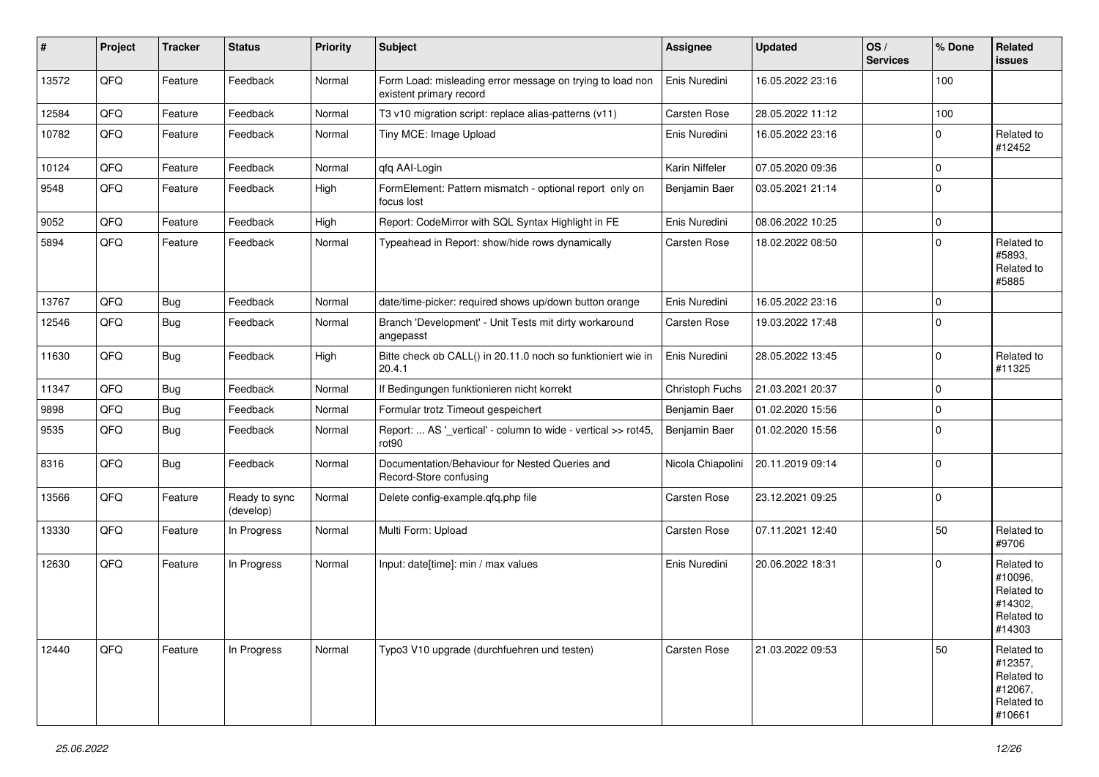| #     | Project | <b>Tracker</b> | <b>Status</b>              | <b>Priority</b> | <b>Subject</b>                                                                       | <b>Assignee</b>   | <b>Updated</b>   | OS/<br><b>Services</b> | % Done      | <b>Related</b><br><b>issues</b>                                        |
|-------|---------|----------------|----------------------------|-----------------|--------------------------------------------------------------------------------------|-------------------|------------------|------------------------|-------------|------------------------------------------------------------------------|
| 13572 | QFQ     | Feature        | Feedback                   | Normal          | Form Load: misleading error message on trying to load non<br>existent primary record | Enis Nuredini     | 16.05.2022 23:16 |                        | 100         |                                                                        |
| 12584 | QFQ     | Feature        | Feedback                   | Normal          | T3 v10 migration script: replace alias-patterns (v11)                                | Carsten Rose      | 28.05.2022 11:12 |                        | 100         |                                                                        |
| 10782 | QFQ     | Feature        | Feedback                   | Normal          | Tiny MCE: Image Upload                                                               | Enis Nuredini     | 16.05.2022 23:16 |                        | $\Omega$    | Related to<br>#12452                                                   |
| 10124 | QFQ     | Feature        | Feedback                   | Normal          | qfq AAI-Login                                                                        | Karin Niffeler    | 07.05.2020 09:36 |                        | $\mathbf 0$ |                                                                        |
| 9548  | QFQ     | Feature        | Feedback                   | High            | FormElement: Pattern mismatch - optional report only on<br>focus lost                | Benjamin Baer     | 03.05.2021 21:14 |                        | $\Omega$    |                                                                        |
| 9052  | QFQ     | Feature        | Feedback                   | High            | Report: CodeMirror with SQL Syntax Highlight in FE                                   | Enis Nuredini     | 08.06.2022 10:25 |                        | $\mathbf 0$ |                                                                        |
| 5894  | QFQ     | Feature        | Feedback                   | Normal          | Typeahead in Report: show/hide rows dynamically                                      | Carsten Rose      | 18.02.2022 08:50 |                        | $\mathbf 0$ | Related to<br>#5893,<br>Related to<br>#5885                            |
| 13767 | QFQ     | Bug            | Feedback                   | Normal          | date/time-picker: required shows up/down button orange                               | Enis Nuredini     | 16.05.2022 23:16 |                        | 0           |                                                                        |
| 12546 | QFQ     | <b>Bug</b>     | Feedback                   | Normal          | Branch 'Development' - Unit Tests mit dirty workaround<br>angepasst                  | Carsten Rose      | 19.03.2022 17:48 |                        | $\Omega$    |                                                                        |
| 11630 | QFQ     | Bug            | Feedback                   | High            | Bitte check ob CALL() in 20.11.0 noch so funktioniert wie in<br>20.4.1               | Enis Nuredini     | 28.05.2022 13:45 |                        | $\mathbf 0$ | Related to<br>#11325                                                   |
| 11347 | QFQ     | Bug            | Feedback                   | Normal          | If Bedingungen funktionieren nicht korrekt                                           | Christoph Fuchs   | 21.03.2021 20:37 |                        | $\mathbf 0$ |                                                                        |
| 9898  | QFQ     | Bug            | Feedback                   | Normal          | Formular trotz Timeout gespeichert                                                   | Benjamin Baer     | 01.02.2020 15:56 |                        | $\mathbf 0$ |                                                                        |
| 9535  | QFQ     | Bug            | Feedback                   | Normal          | Report:  AS '_vertical' - column to wide - vertical >> rot45,<br>rot90               | Benjamin Baer     | 01.02.2020 15:56 |                        | 0           |                                                                        |
| 8316  | QFQ     | Bug            | Feedback                   | Normal          | Documentation/Behaviour for Nested Queries and<br>Record-Store confusing             | Nicola Chiapolini | 20.11.2019 09:14 |                        | $\mathbf 0$ |                                                                        |
| 13566 | QFQ     | Feature        | Ready to sync<br>(develop) | Normal          | Delete config-example.qfq.php file                                                   | Carsten Rose      | 23.12.2021 09:25 |                        | $\mathbf 0$ |                                                                        |
| 13330 | QFQ     | Feature        | In Progress                | Normal          | Multi Form: Upload                                                                   | Carsten Rose      | 07.11.2021 12:40 |                        | 50          | Related to<br>#9706                                                    |
| 12630 | QFQ     | Feature        | In Progress                | Normal          | Input: date[time]: min / max values                                                  | Enis Nuredini     | 20.06.2022 18:31 |                        | $\Omega$    | Related to<br>#10096,<br>Related to<br>#14302,<br>Related to<br>#14303 |
| 12440 | QFQ     | Feature        | In Progress                | Normal          | Typo3 V10 upgrade (durchfuehren und testen)                                          | Carsten Rose      | 21.03.2022 09:53 |                        | 50          | Related to<br>#12357,<br>Related to<br>#12067,<br>Related to<br>#10661 |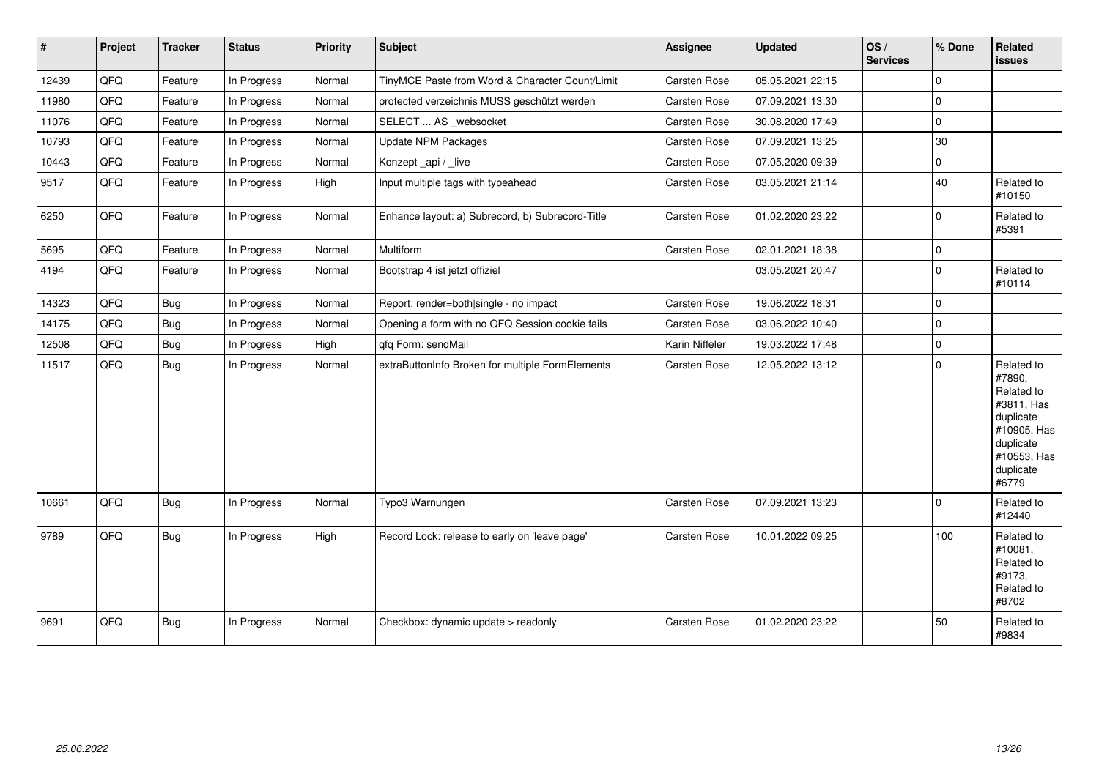| $\vert$ # | Project | <b>Tracker</b> | <b>Status</b> | Priority | <b>Subject</b>                                   | <b>Assignee</b>     | <b>Updated</b>   | $\log$<br><b>Services</b> | % Done      | Related<br>issues                                                                                                              |
|-----------|---------|----------------|---------------|----------|--------------------------------------------------|---------------------|------------------|---------------------------|-------------|--------------------------------------------------------------------------------------------------------------------------------|
| 12439     | QFQ     | Feature        | In Progress   | Normal   | TinyMCE Paste from Word & Character Count/Limit  | <b>Carsten Rose</b> | 05.05.2021 22:15 |                           | $\Omega$    |                                                                                                                                |
| 11980     | QFQ     | Feature        | In Progress   | Normal   | protected verzeichnis MUSS geschützt werden      | Carsten Rose        | 07.09.2021 13:30 |                           | $\Omega$    |                                                                                                                                |
| 11076     | QFQ     | Feature        | In Progress   | Normal   | SELECT  AS _websocket                            | Carsten Rose        | 30.08.2020 17:49 |                           | 0           |                                                                                                                                |
| 10793     | QFQ     | Feature        | In Progress   | Normal   | <b>Update NPM Packages</b>                       | Carsten Rose        | 07.09.2021 13:25 |                           | 30          |                                                                                                                                |
| 10443     | QFQ     | Feature        | In Progress   | Normal   | Konzept_api / _live                              | Carsten Rose        | 07.05.2020 09:39 |                           | 0           |                                                                                                                                |
| 9517      | QFQ     | Feature        | In Progress   | High     | Input multiple tags with typeahead               | Carsten Rose        | 03.05.2021 21:14 |                           | 40          | Related to<br>#10150                                                                                                           |
| 6250      | QFQ     | Feature        | In Progress   | Normal   | Enhance layout: a) Subrecord, b) Subrecord-Title | Carsten Rose        | 01.02.2020 23:22 |                           | $\Omega$    | Related to<br>#5391                                                                                                            |
| 5695      | QFQ     | Feature        | In Progress   | Normal   | <b>Multiform</b>                                 | Carsten Rose        | 02.01.2021 18:38 |                           | $\mathbf 0$ |                                                                                                                                |
| 4194      | QFQ     | Feature        | In Progress   | Normal   | Bootstrap 4 ist jetzt offiziel                   |                     | 03.05.2021 20:47 |                           | $\Omega$    | Related to<br>#10114                                                                                                           |
| 14323     | QFQ     | <b>Bug</b>     | In Progress   | Normal   | Report: render=both single - no impact           | Carsten Rose        | 19.06.2022 18:31 |                           | $\Omega$    |                                                                                                                                |
| 14175     | QFQ     | <b>Bug</b>     | In Progress   | Normal   | Opening a form with no QFQ Session cookie fails  | Carsten Rose        | 03.06.2022 10:40 |                           | $\Omega$    |                                                                                                                                |
| 12508     | QFQ     | Bug            | In Progress   | High     | qfq Form: sendMail                               | Karin Niffeler      | 19.03.2022 17:48 |                           | $\Omega$    |                                                                                                                                |
| 11517     | QFQ     | Bug            | In Progress   | Normal   | extraButtonInfo Broken for multiple FormElements | Carsten Rose        | 12.05.2022 13:12 |                           | $\Omega$    | Related to<br>#7890,<br>Related to<br>#3811, Has<br>duplicate<br>#10905, Has<br>duplicate<br>#10553, Has<br>duplicate<br>#6779 |
| 10661     | QFQ     | <b>Bug</b>     | In Progress   | Normal   | Typo3 Warnungen                                  | Carsten Rose        | 07.09.2021 13:23 |                           | $\Omega$    | Related to<br>#12440                                                                                                           |
| 9789      | QFQ     | <b>Bug</b>     | In Progress   | High     | Record Lock: release to early on 'leave page'    | Carsten Rose        | 10.01.2022 09:25 |                           | 100         | Related to<br>#10081,<br>Related to<br>#9173,<br>Related to<br>#8702                                                           |
| 9691      | QFQ     | Bug            | In Progress   | Normal   | Checkbox: dynamic update > readonly              | Carsten Rose        | 01.02.2020 23:22 |                           | 50          | Related to<br>#9834                                                                                                            |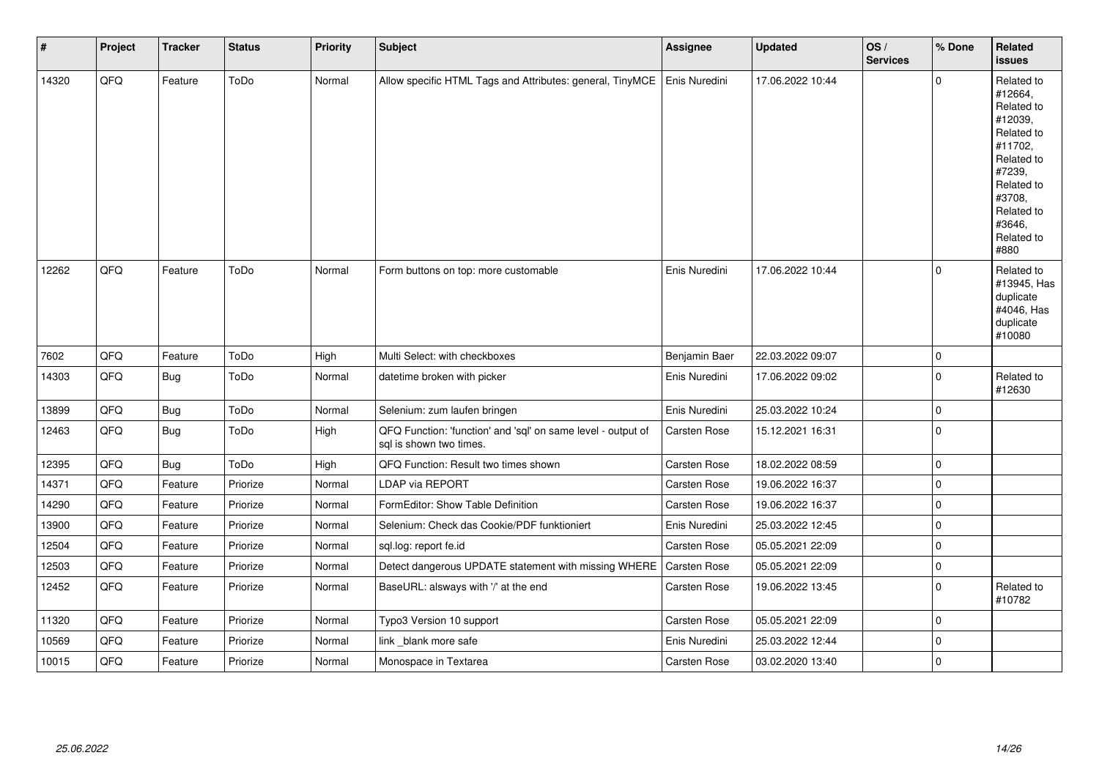| $\sharp$ | Project | <b>Tracker</b> | <b>Status</b> | <b>Priority</b> | <b>Subject</b>                                                                          | <b>Assignee</b> | <b>Updated</b>   | OS/<br><b>Services</b> | % Done      | Related<br><b>issues</b>                                                                                                                                              |
|----------|---------|----------------|---------------|-----------------|-----------------------------------------------------------------------------------------|-----------------|------------------|------------------------|-------------|-----------------------------------------------------------------------------------------------------------------------------------------------------------------------|
| 14320    | QFQ     | Feature        | ToDo          | Normal          | Allow specific HTML Tags and Attributes: general, TinyMCE                               | Enis Nuredini   | 17.06.2022 10:44 |                        | $\Omega$    | Related to<br>#12664,<br>Related to<br>#12039,<br>Related to<br>#11702,<br>Related to<br>#7239,<br>Related to<br>#3708,<br>Related to<br>#3646,<br>Related to<br>#880 |
| 12262    | QFQ     | Feature        | ToDo          | Normal          | Form buttons on top: more customable                                                    | Enis Nuredini   | 17.06.2022 10:44 |                        | $\mathbf 0$ | Related to<br>#13945, Has<br>duplicate<br>#4046, Has<br>duplicate<br>#10080                                                                                           |
| 7602     | QFQ     | Feature        | ToDo          | High            | Multi Select: with checkboxes                                                           | Benjamin Baer   | 22.03.2022 09:07 |                        | $\mathbf 0$ |                                                                                                                                                                       |
| 14303    | QFQ     | <b>Bug</b>     | ToDo          | Normal          | datetime broken with picker                                                             | Enis Nuredini   | 17.06.2022 09:02 |                        | $\mathbf 0$ | Related to<br>#12630                                                                                                                                                  |
| 13899    | QFQ     | Bug            | ToDo          | Normal          | Selenium: zum laufen bringen                                                            | Enis Nuredini   | 25.03.2022 10:24 |                        | $\mathbf 0$ |                                                                                                                                                                       |
| 12463    | QFQ     | Bug            | ToDo          | High            | QFQ Function: 'function' and 'sql' on same level - output of<br>sql is shown two times. | Carsten Rose    | 15.12.2021 16:31 |                        | $\mathbf 0$ |                                                                                                                                                                       |
| 12395    | QFQ     | Bug            | ToDo          | High            | QFQ Function: Result two times shown                                                    | Carsten Rose    | 18.02.2022 08:59 |                        | $\mathbf 0$ |                                                                                                                                                                       |
| 14371    | QFQ     | Feature        | Priorize      | Normal          | <b>LDAP via REPORT</b>                                                                  | Carsten Rose    | 19.06.2022 16:37 |                        | $\mathbf 0$ |                                                                                                                                                                       |
| 14290    | QFQ     | Feature        | Priorize      | Normal          | FormEditor: Show Table Definition                                                       | Carsten Rose    | 19.06.2022 16:37 |                        | $\mathbf 0$ |                                                                                                                                                                       |
| 13900    | QFQ     | Feature        | Priorize      | Normal          | Selenium: Check das Cookie/PDF funktioniert                                             | Enis Nuredini   | 25.03.2022 12:45 |                        | $\mathbf 0$ |                                                                                                                                                                       |
| 12504    | QFQ     | Feature        | Priorize      | Normal          | sql.log: report fe.id                                                                   | Carsten Rose    | 05.05.2021 22:09 |                        | $\mathbf 0$ |                                                                                                                                                                       |
| 12503    | QFQ     | Feature        | Priorize      | Normal          | Detect dangerous UPDATE statement with missing WHERE                                    | Carsten Rose    | 05.05.2021 22:09 |                        | 0           |                                                                                                                                                                       |
| 12452    | QFQ     | Feature        | Priorize      | Normal          | BaseURL: alsways with '/' at the end                                                    | Carsten Rose    | 19.06.2022 13:45 |                        | $\mathbf 0$ | Related to<br>#10782                                                                                                                                                  |
| 11320    | QFQ     | Feature        | Priorize      | Normal          | Typo3 Version 10 support                                                                | Carsten Rose    | 05.05.2021 22:09 |                        | $\mathbf 0$ |                                                                                                                                                                       |
| 10569    | QFQ     | Feature        | Priorize      | Normal          | link blank more safe                                                                    | Enis Nuredini   | 25.03.2022 12:44 |                        | $\mathbf 0$ |                                                                                                                                                                       |
| 10015    | QFQ     | Feature        | Priorize      | Normal          | Monospace in Textarea                                                                   | Carsten Rose    | 03.02.2020 13:40 |                        | $\mathbf 0$ |                                                                                                                                                                       |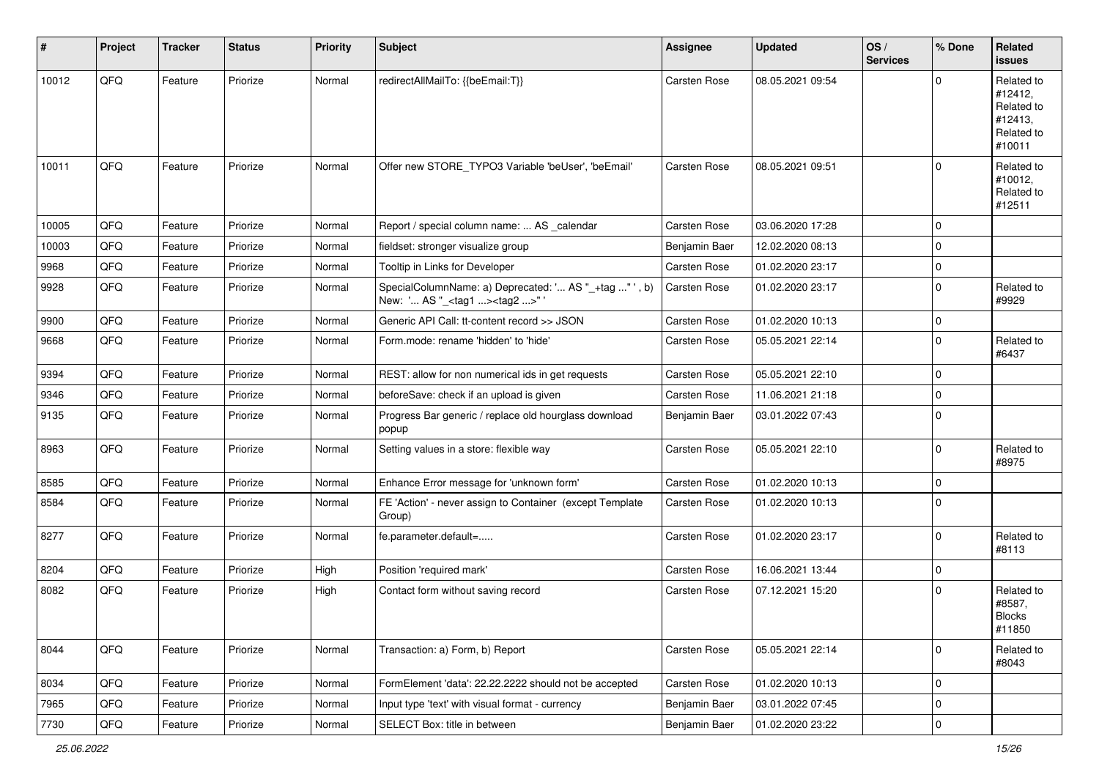| #     | Project | <b>Tracker</b> | <b>Status</b> | <b>Priority</b> | Subject                                                                                            | <b>Assignee</b>     | <b>Updated</b>   | OS/<br><b>Services</b> | % Done      | <b>Related</b><br><b>issues</b>                                        |
|-------|---------|----------------|---------------|-----------------|----------------------------------------------------------------------------------------------------|---------------------|------------------|------------------------|-------------|------------------------------------------------------------------------|
| 10012 | QFQ     | Feature        | Priorize      | Normal          | redirectAllMailTo: {{beEmail:T}}                                                                   | Carsten Rose        | 08.05.2021 09:54 |                        | $\Omega$    | Related to<br>#12412,<br>Related to<br>#12413.<br>Related to<br>#10011 |
| 10011 | QFQ     | Feature        | Priorize      | Normal          | Offer new STORE TYPO3 Variable 'beUser', 'beEmail'                                                 | Carsten Rose        | 08.05.2021 09:51 |                        | $\Omega$    | Related to<br>#10012,<br>Related to<br>#12511                          |
| 10005 | QFQ     | Feature        | Priorize      | Normal          | Report / special column name:  AS calendar                                                         | Carsten Rose        | 03.06.2020 17:28 |                        | 0           |                                                                        |
| 10003 | QFQ     | Feature        | Priorize      | Normal          | fieldset: stronger visualize group                                                                 | Benjamin Baer       | 12.02.2020 08:13 |                        | $\Omega$    |                                                                        |
| 9968  | QFQ     | Feature        | Priorize      | Normal          | Tooltip in Links for Developer                                                                     | Carsten Rose        | 01.02.2020 23:17 |                        | $\mathbf 0$ |                                                                        |
| 9928  | QFQ     | Feature        | Priorize      | Normal          | SpecialColumnName: a) Deprecated: ' AS "_+tag " ', b)<br>New: ' AS "_ <tag1><tag2>"'</tag2></tag1> | Carsten Rose        | 01.02.2020 23:17 |                        | $\Omega$    | Related to<br>#9929                                                    |
| 9900  | QFQ     | Feature        | Priorize      | Normal          | Generic API Call: tt-content record >> JSON                                                        | Carsten Rose        | 01.02.2020 10:13 |                        | $\mathbf 0$ |                                                                        |
| 9668  | QFQ     | Feature        | Priorize      | Normal          | Form.mode: rename 'hidden' to 'hide'                                                               | Carsten Rose        | 05.05.2021 22:14 |                        | $\mathbf 0$ | Related to<br>#6437                                                    |
| 9394  | QFQ     | Feature        | Priorize      | Normal          | REST: allow for non numerical ids in get requests                                                  | Carsten Rose        | 05.05.2021 22:10 |                        | $\Omega$    |                                                                        |
| 9346  | QFQ     | Feature        | Priorize      | Normal          | beforeSave: check if an upload is given                                                            | Carsten Rose        | 11.06.2021 21:18 |                        | $\mathbf 0$ |                                                                        |
| 9135  | QFQ     | Feature        | Priorize      | Normal          | Progress Bar generic / replace old hourglass download<br>popup                                     | Benjamin Baer       | 03.01.2022 07:43 |                        | $\mathbf 0$ |                                                                        |
| 8963  | QFQ     | Feature        | Priorize      | Normal          | Setting values in a store: flexible way                                                            | Carsten Rose        | 05.05.2021 22:10 |                        | $\mathbf 0$ | Related to<br>#8975                                                    |
| 8585  | QFQ     | Feature        | Priorize      | Normal          | Enhance Error message for 'unknown form'                                                           | Carsten Rose        | 01.02.2020 10:13 |                        | $\Omega$    |                                                                        |
| 8584  | QFQ     | Feature        | Priorize      | Normal          | FE 'Action' - never assign to Container (except Template<br>Group)                                 | Carsten Rose        | 01.02.2020 10:13 |                        | 0           |                                                                        |
| 8277  | QFQ     | Feature        | Priorize      | Normal          | fe.parameter.default=                                                                              | Carsten Rose        | 01.02.2020 23:17 |                        | $\mathbf 0$ | Related to<br>#8113                                                    |
| 8204  | QFQ     | Feature        | Priorize      | High            | Position 'required mark'                                                                           | Carsten Rose        | 16.06.2021 13:44 |                        | $\mathbf 0$ |                                                                        |
| 8082  | QFQ     | Feature        | Priorize      | High            | Contact form without saving record                                                                 | <b>Carsten Rose</b> | 07.12.2021 15:20 |                        | $\Omega$    | Related to<br>#8587,<br><b>Blocks</b><br>#11850                        |
| 8044  | QFQ     | Feature        | Priorize      | Normal          | Transaction: a) Form, b) Report                                                                    | Carsten Rose        | 05.05.2021 22:14 |                        | $\mathbf 0$ | Related to<br>#8043                                                    |
| 8034  | QFQ     | Feature        | Priorize      | Normal          | FormElement 'data': 22.22.2222 should not be accepted                                              | Carsten Rose        | 01.02.2020 10:13 |                        | $\mathbf 0$ |                                                                        |
| 7965  | QFQ     | Feature        | Priorize      | Normal          | Input type 'text' with visual format - currency                                                    | Benjamin Baer       | 03.01.2022 07:45 |                        | $\mathbf 0$ |                                                                        |
| 7730  | QFG     | Feature        | Priorize      | Normal          | SELECT Box: title in between                                                                       | Benjamin Baer       | 01.02.2020 23:22 |                        | $\mathbf 0$ |                                                                        |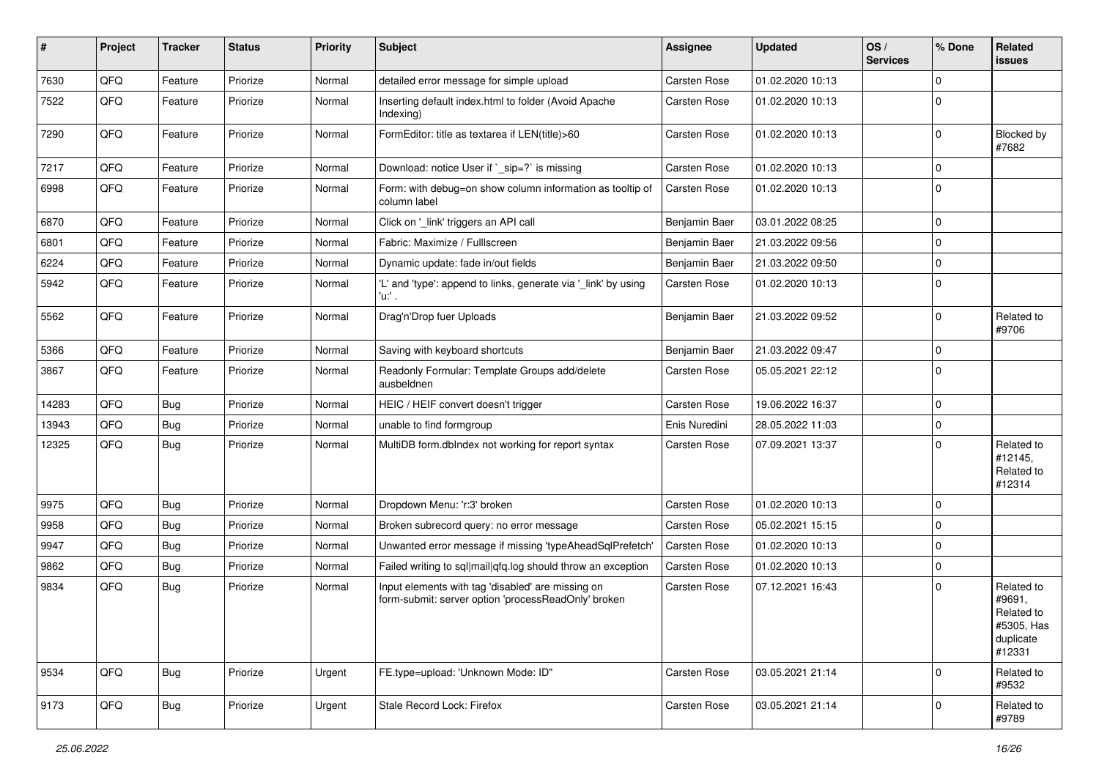| ∦     | Project | <b>Tracker</b> | <b>Status</b> | <b>Priority</b> | Subject                                                                                                  | <b>Assignee</b>     | <b>Updated</b>   | OS/<br><b>Services</b> | % Done         | Related<br><b>issues</b>                                                |
|-------|---------|----------------|---------------|-----------------|----------------------------------------------------------------------------------------------------------|---------------------|------------------|------------------------|----------------|-------------------------------------------------------------------------|
| 7630  | QFQ     | Feature        | Priorize      | Normal          | detailed error message for simple upload                                                                 | Carsten Rose        | 01.02.2020 10:13 |                        | $\Omega$       |                                                                         |
| 7522  | QFQ     | Feature        | Priorize      | Normal          | Inserting default index.html to folder (Avoid Apache<br>Indexing)                                        | Carsten Rose        | 01.02.2020 10:13 |                        | $\Omega$       |                                                                         |
| 7290  | QFQ     | Feature        | Priorize      | Normal          | FormEditor: title as textarea if LEN(title)>60                                                           | Carsten Rose        | 01.02.2020 10:13 |                        | $\Omega$       | Blocked by<br>#7682                                                     |
| 7217  | QFQ     | Feature        | Priorize      | Normal          | Download: notice User if `_sip=?` is missing                                                             | Carsten Rose        | 01.02.2020 10:13 |                        | $\Omega$       |                                                                         |
| 6998  | QFQ     | Feature        | Priorize      | Normal          | Form: with debug=on show column information as tooltip of<br>column label                                | Carsten Rose        | 01.02.2020 10:13 |                        | $\mathbf 0$    |                                                                         |
| 6870  | QFQ     | Feature        | Priorize      | Normal          | Click on '_link' triggers an API call                                                                    | Benjamin Baer       | 03.01.2022 08:25 |                        | $\Omega$       |                                                                         |
| 6801  | QFQ     | Feature        | Priorize      | Normal          | Fabric: Maximize / FullIscreen                                                                           | Benjamin Baer       | 21.03.2022 09:56 |                        | $\Omega$       |                                                                         |
| 6224  | QFQ     | Feature        | Priorize      | Normal          | Dynamic update: fade in/out fields                                                                       | Benjamin Baer       | 21.03.2022 09:50 |                        | $\Omega$       |                                                                         |
| 5942  | QFQ     | Feature        | Priorize      | Normal          | 'L' and 'type': append to links, generate via '_link' by using<br>'u:' .                                 | Carsten Rose        | 01.02.2020 10:13 |                        | $\Omega$       |                                                                         |
| 5562  | QFQ     | Feature        | Priorize      | Normal          | Drag'n'Drop fuer Uploads                                                                                 | Benjamin Baer       | 21.03.2022 09:52 |                        | $\Omega$       | Related to<br>#9706                                                     |
| 5366  | QFQ     | Feature        | Priorize      | Normal          | Saving with keyboard shortcuts                                                                           | Benjamin Baer       | 21.03.2022 09:47 |                        | $\Omega$       |                                                                         |
| 3867  | QFQ     | Feature        | Priorize      | Normal          | Readonly Formular: Template Groups add/delete<br>ausbeldnen                                              | Carsten Rose        | 05.05.2021 22:12 |                        | $\Omega$       |                                                                         |
| 14283 | QFQ     | <b>Bug</b>     | Priorize      | Normal          | HEIC / HEIF convert doesn't trigger                                                                      | Carsten Rose        | 19.06.2022 16:37 |                        | $\Omega$       |                                                                         |
| 13943 | QFQ     | Bug            | Priorize      | Normal          | unable to find formgroup                                                                                 | Enis Nuredini       | 28.05.2022 11:03 |                        | $\overline{0}$ |                                                                         |
| 12325 | QFQ     | Bug            | Priorize      | Normal          | MultiDB form.dblndex not working for report syntax                                                       | Carsten Rose        | 07.09.2021 13:37 |                        | $\Omega$       | Related to<br>#12145,<br>Related to<br>#12314                           |
| 9975  | QFQ     | Bug            | Priorize      | Normal          | Dropdown Menu: 'r:3' broken                                                                              | Carsten Rose        | 01.02.2020 10:13 |                        | $\mathbf 0$    |                                                                         |
| 9958  | QFQ     | Bug            | Priorize      | Normal          | Broken subrecord query: no error message                                                                 | Carsten Rose        | 05.02.2021 15:15 |                        | $\Omega$       |                                                                         |
| 9947  | QFQ     | Bug            | Priorize      | Normal          | Unwanted error message if missing 'typeAheadSqlPrefetch'                                                 | Carsten Rose        | 01.02.2020 10:13 |                        | $\Omega$       |                                                                         |
| 9862  | QFQ     | Bug            | Priorize      | Normal          | Failed writing to sql mail qfq.log should throw an exception                                             | Carsten Rose        | 01.02.2020 10:13 |                        | $\mathbf 0$    |                                                                         |
| 9834  | QFQ     | <b>Bug</b>     | Priorize      | Normal          | Input elements with tag 'disabled' are missing on<br>form-submit: server option 'processReadOnly' broken | Carsten Rose        | 07.12.2021 16:43 |                        | $\Omega$       | Related to<br>#9691,<br>Related to<br>#5305, Has<br>duplicate<br>#12331 |
| 9534  | QFQ     | Bug            | Priorize      | Urgent          | FE.type=upload: 'Unknown Mode: ID"                                                                       | Carsten Rose        | 03.05.2021 21:14 |                        | $\Omega$       | Related to<br>#9532                                                     |
| 9173  | QFQ     | <b>Bug</b>     | Priorize      | Urgent          | Stale Record Lock: Firefox                                                                               | <b>Carsten Rose</b> | 03.05.2021 21:14 |                        | 0              | Related to<br>#9789                                                     |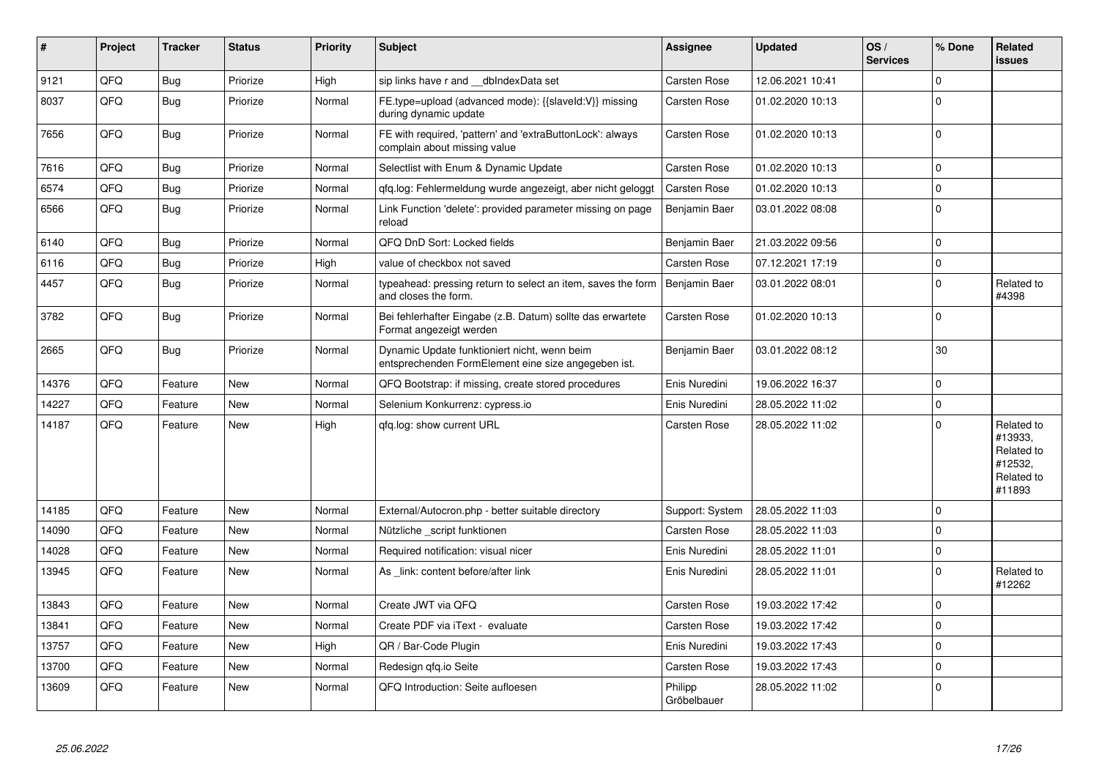| $\pmb{\sharp}$ | Project | <b>Tracker</b> | <b>Status</b> | <b>Priority</b> | Subject                                                                                             | Assignee               | <b>Updated</b>   | OS/<br><b>Services</b> | % Done      | <b>Related</b><br><b>issues</b>                                        |
|----------------|---------|----------------|---------------|-----------------|-----------------------------------------------------------------------------------------------------|------------------------|------------------|------------------------|-------------|------------------------------------------------------------------------|
| 9121           | QFQ     | <b>Bug</b>     | Priorize      | High            | sip links have r and __dbIndexData set                                                              | Carsten Rose           | 12.06.2021 10:41 |                        | $\mathbf 0$ |                                                                        |
| 8037           | QFQ     | Bug            | Priorize      | Normal          | FE.type=upload (advanced mode): {{slaveld:V}} missing<br>during dynamic update                      | <b>Carsten Rose</b>    | 01.02.2020 10:13 |                        | $\Omega$    |                                                                        |
| 7656           | QFQ     | <b>Bug</b>     | Priorize      | Normal          | FE with required, 'pattern' and 'extraButtonLock': always<br>complain about missing value           | <b>Carsten Rose</b>    | 01.02.2020 10:13 |                        | $\mathbf 0$ |                                                                        |
| 7616           | QFQ     | <b>Bug</b>     | Priorize      | Normal          | Selectlist with Enum & Dynamic Update                                                               | <b>Carsten Rose</b>    | 01.02.2020 10:13 |                        | $\mathsf 0$ |                                                                        |
| 6574           | QFQ     | <b>Bug</b>     | Priorize      | Normal          | qfq.log: Fehlermeldung wurde angezeigt, aber nicht geloggt                                          | Carsten Rose           | 01.02.2020 10:13 |                        | $\mathsf 0$ |                                                                        |
| 6566           | QFQ     | Bug            | Priorize      | Normal          | Link Function 'delete': provided parameter missing on page<br>reload                                | Benjamin Baer          | 03.01.2022 08:08 |                        | $\mathbf 0$ |                                                                        |
| 6140           | QFQ     | <b>Bug</b>     | Priorize      | Normal          | QFQ DnD Sort: Locked fields                                                                         | Benjamin Baer          | 21.03.2022 09:56 |                        | $\mathbf 0$ |                                                                        |
| 6116           | QFQ     | <b>Bug</b>     | Priorize      | High            | value of checkbox not saved                                                                         | Carsten Rose           | 07.12.2021 17:19 |                        | $\mathbf 0$ |                                                                        |
| 4457           | QFQ     | Bug            | Priorize      | Normal          | typeahead: pressing return to select an item, saves the form<br>and closes the form.                | Benjamin Baer          | 03.01.2022 08:01 |                        | $\mathbf 0$ | Related to<br>#4398                                                    |
| 3782           | QFQ     | Bug            | Priorize      | Normal          | Bei fehlerhafter Eingabe (z.B. Datum) sollte das erwartete<br>Format angezeigt werden               | <b>Carsten Rose</b>    | 01.02.2020 10:13 |                        | $\mathbf 0$ |                                                                        |
| 2665           | QFQ     | <b>Bug</b>     | Priorize      | Normal          | Dynamic Update funktioniert nicht, wenn beim<br>entsprechenden FormElement eine size angegeben ist. | Benjamin Baer          | 03.01.2022 08:12 |                        | 30          |                                                                        |
| 14376          | QFQ     | Feature        | <b>New</b>    | Normal          | QFQ Bootstrap: if missing, create stored procedures                                                 | Enis Nuredini          | 19.06.2022 16:37 |                        | $\pmb{0}$   |                                                                        |
| 14227          | QFQ     | Feature        | <b>New</b>    | Normal          | Selenium Konkurrenz: cypress.io                                                                     | Enis Nuredini          | 28.05.2022 11:02 |                        | $\mathbf 0$ |                                                                        |
| 14187          | QFQ     | Feature        | <b>New</b>    | High            | gfg.log: show current URL                                                                           | Carsten Rose           | 28.05.2022 11:02 |                        | $\Omega$    | Related to<br>#13933.<br>Related to<br>#12532,<br>Related to<br>#11893 |
| 14185          | QFQ     | Feature        | <b>New</b>    | Normal          | External/Autocron.php - better suitable directory                                                   | Support: System        | 28.05.2022 11:03 |                        | $\mathbf 0$ |                                                                        |
| 14090          | QFQ     | Feature        | New           | Normal          | Nützliche script funktionen                                                                         | Carsten Rose           | 28.05.2022 11:03 |                        | $\mathbf 0$ |                                                                        |
| 14028          | QFQ     | Feature        | <b>New</b>    | Normal          | Required notification: visual nicer                                                                 | Enis Nuredini          | 28.05.2022 11:01 |                        | $\mathbf 0$ |                                                                        |
| 13945          | QFQ     | Feature        | <b>New</b>    | Normal          | As link: content before/after link                                                                  | Enis Nuredini          | 28.05.2022 11:01 |                        | $\mathbf 0$ | Related to<br>#12262                                                   |
| 13843          | QFQ     | Feature        | <b>New</b>    | Normal          | Create JWT via QFQ                                                                                  | Carsten Rose           | 19.03.2022 17:42 |                        | $\mathbf 0$ |                                                                        |
| 13841          | QFQ     | Feature        | <b>New</b>    | Normal          | Create PDF via iText - evaluate                                                                     | <b>Carsten Rose</b>    | 19.03.2022 17:42 |                        | $\mathbf 0$ |                                                                        |
| 13757          | QFQ     | Feature        | <b>New</b>    | High            | QR / Bar-Code Plugin                                                                                | Enis Nuredini          | 19.03.2022 17:43 |                        | $\Omega$    |                                                                        |
| 13700          | QFQ     | Feature        | New           | Normal          | Redesign gfg.io Seite                                                                               | <b>Carsten Rose</b>    | 19.03.2022 17:43 |                        | $\mathbf 0$ |                                                                        |
| 13609          | QFQ     | Feature        | <b>New</b>    | Normal          | QFQ Introduction: Seite aufloesen                                                                   | Philipp<br>Gröbelbauer | 28.05.2022 11:02 |                        | $\mathbf 0$ |                                                                        |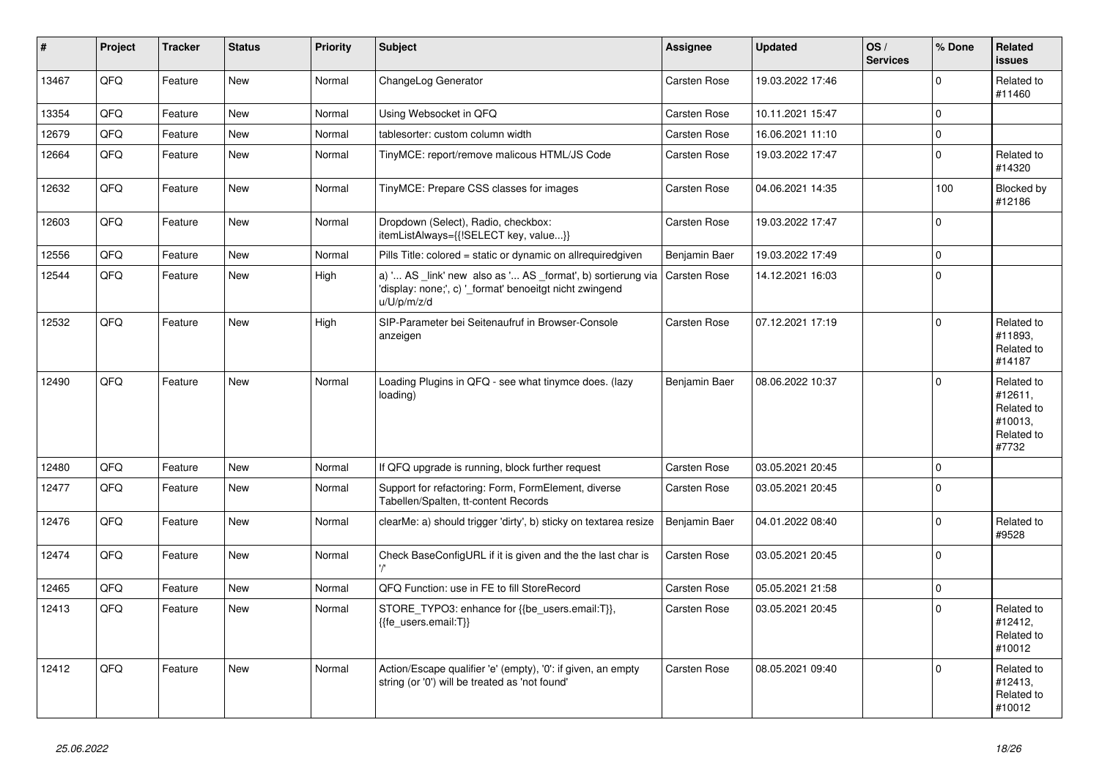| #     | Project | <b>Tracker</b> | <b>Status</b> | <b>Priority</b> | <b>Subject</b>                                                                                                                        | Assignee            | <b>Updated</b>   | OS/<br><b>Services</b> | % Done      | Related<br><b>issues</b>                                              |
|-------|---------|----------------|---------------|-----------------|---------------------------------------------------------------------------------------------------------------------------------------|---------------------|------------------|------------------------|-------------|-----------------------------------------------------------------------|
| 13467 | QFQ     | Feature        | <b>New</b>    | Normal          | ChangeLog Generator                                                                                                                   | Carsten Rose        | 19.03.2022 17:46 |                        | $\mathbf 0$ | Related to<br>#11460                                                  |
| 13354 | QFQ     | Feature        | <b>New</b>    | Normal          | Using Websocket in QFQ                                                                                                                | <b>Carsten Rose</b> | 10.11.2021 15:47 |                        | $\mathbf 0$ |                                                                       |
| 12679 | QFQ     | Feature        | <b>New</b>    | Normal          | tablesorter: custom column width                                                                                                      | Carsten Rose        | 16.06.2021 11:10 |                        | $\mathbf 0$ |                                                                       |
| 12664 | QFQ     | Feature        | <b>New</b>    | Normal          | TinyMCE: report/remove malicous HTML/JS Code                                                                                          | Carsten Rose        | 19.03.2022 17:47 |                        | $\mathbf 0$ | Related to<br>#14320                                                  |
| 12632 | QFQ     | Feature        | New           | Normal          | TinyMCE: Prepare CSS classes for images                                                                                               | Carsten Rose        | 04.06.2021 14:35 |                        | 100         | Blocked by<br>#12186                                                  |
| 12603 | QFQ     | Feature        | New           | Normal          | Dropdown (Select), Radio, checkbox:<br>itemListAlways={{!SELECT key, value}}                                                          | Carsten Rose        | 19.03.2022 17:47 |                        | $\Omega$    |                                                                       |
| 12556 | QFQ     | Feature        | <b>New</b>    | Normal          | Pills Title: colored = static or dynamic on allrequiredgiven                                                                          | Benjamin Baer       | 19.03.2022 17:49 |                        | $\mathbf 0$ |                                                                       |
| 12544 | QFQ     | Feature        | <b>New</b>    | High            | a) ' AS _link' new also as ' AS _format', b) sortierung via<br>'display: none;', c) '_format' benoeitgt nicht zwingend<br>u/U/p/m/z/d | Carsten Rose        | 14.12.2021 16:03 |                        | $\mathbf 0$ |                                                                       |
| 12532 | QFQ     | Feature        | <b>New</b>    | High            | SIP-Parameter bei Seitenaufruf in Browser-Console<br>anzeigen                                                                         | Carsten Rose        | 07.12.2021 17:19 |                        | $\Omega$    | Related to<br>#11893.<br>Related to<br>#14187                         |
| 12490 | QFQ     | Feature        | New           | Normal          | Loading Plugins in QFQ - see what tinymce does. (lazy<br>loading)                                                                     | Benjamin Baer       | 08.06.2022 10:37 |                        | $\mathbf 0$ | Related to<br>#12611.<br>Related to<br>#10013,<br>Related to<br>#7732 |
| 12480 | QFQ     | Feature        | <b>New</b>    | Normal          | If QFQ upgrade is running, block further request                                                                                      | Carsten Rose        | 03.05.2021 20:45 |                        | $\mathbf 0$ |                                                                       |
| 12477 | QFQ     | Feature        | <b>New</b>    | Normal          | Support for refactoring: Form, FormElement, diverse<br>Tabellen/Spalten, tt-content Records                                           | Carsten Rose        | 03.05.2021 20:45 |                        | $\Omega$    |                                                                       |
| 12476 | QFQ     | Feature        | <b>New</b>    | Normal          | clearMe: a) should trigger 'dirty', b) sticky on textarea resize                                                                      | Benjamin Baer       | 04.01.2022 08:40 |                        | $\mathbf 0$ | Related to<br>#9528                                                   |
| 12474 | QFQ     | Feature        | New           | Normal          | Check BaseConfigURL if it is given and the the last char is                                                                           | Carsten Rose        | 03.05.2021 20:45 |                        | $\mathbf 0$ |                                                                       |
| 12465 | QFQ     | Feature        | <b>New</b>    | Normal          | QFQ Function: use in FE to fill StoreRecord                                                                                           | Carsten Rose        | 05.05.2021 21:58 |                        | $\mathbf 0$ |                                                                       |
| 12413 | QFQ     | Feature        | <b>New</b>    | Normal          | STORE TYPO3: enhance for {{be users.email:T}},<br>{{fe users.email:T}}                                                                | Carsten Rose        | 03.05.2021 20:45 |                        | $\Omega$    | Related to<br>#12412,<br>Related to<br>#10012                         |
| 12412 | QFQ     | Feature        | New           | Normal          | Action/Escape qualifier 'e' (empty), '0': if given, an empty<br>string (or '0') will be treated as 'not found'                        | Carsten Rose        | 08.05.2021 09:40 |                        | $\mathbf 0$ | Related to<br>#12413,<br>Related to<br>#10012                         |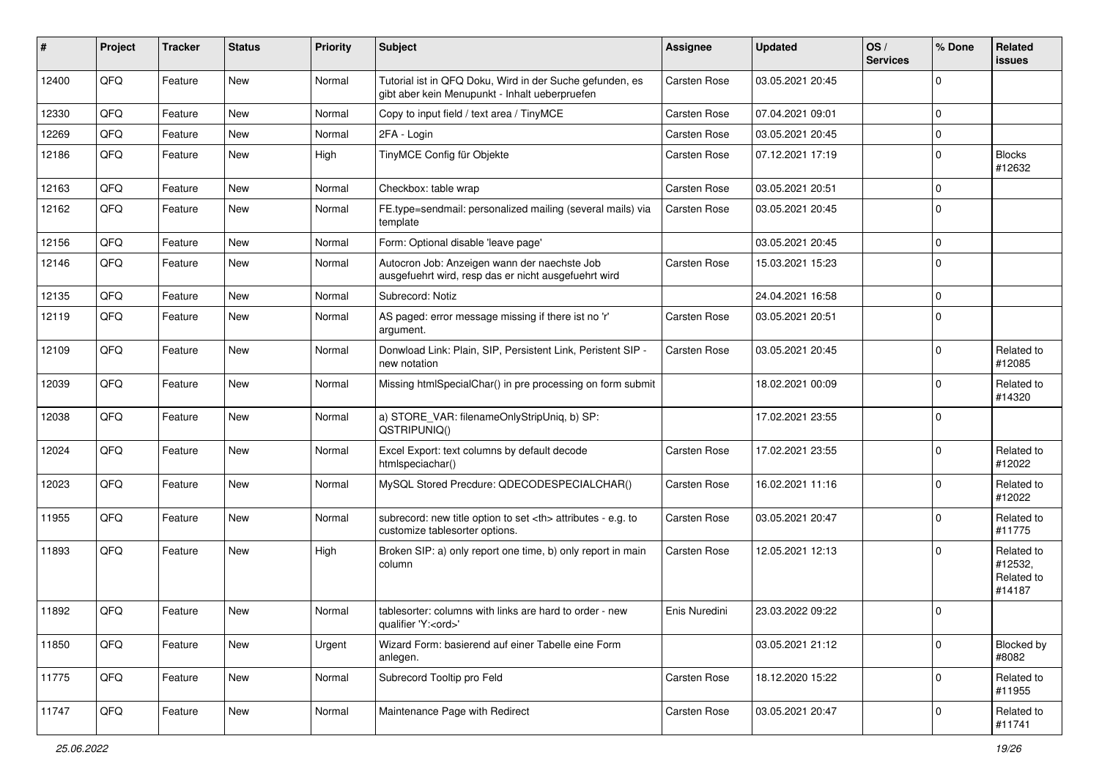| ∦     | Project | <b>Tracker</b> | <b>Status</b> | <b>Priority</b> | Subject                                                                                                    | Assignee                                               | <b>Updated</b>   | OS/<br><b>Services</b> | % Done      | Related<br><b>issues</b>                      |                      |
|-------|---------|----------------|---------------|-----------------|------------------------------------------------------------------------------------------------------------|--------------------------------------------------------|------------------|------------------------|-------------|-----------------------------------------------|----------------------|
| 12400 | QFQ     | Feature        | New           | Normal          | Tutorial ist in QFQ Doku, Wird in der Suche gefunden, es<br>gibt aber kein Menupunkt - Inhalt ueberpruefen | Carsten Rose                                           | 03.05.2021 20:45 |                        | $\mathbf 0$ |                                               |                      |
| 12330 | QFQ     | Feature        | New           | Normal          | Copy to input field / text area / TinyMCE                                                                  | Carsten Rose                                           | 07.04.2021 09:01 |                        | 0           |                                               |                      |
| 12269 | QFQ     | Feature        | New           | Normal          | 2FA - Login                                                                                                | Carsten Rose                                           | 03.05.2021 20:45 |                        | $\mathbf 0$ |                                               |                      |
| 12186 | QFQ     | Feature        | New           | High            | TinyMCE Config für Objekte                                                                                 | Carsten Rose                                           | 07.12.2021 17:19 |                        | 0           | <b>Blocks</b><br>#12632                       |                      |
| 12163 | QFQ     | Feature        | <b>New</b>    | Normal          | Checkbox: table wrap                                                                                       | Carsten Rose                                           | 03.05.2021 20:51 |                        | $\mathbf 0$ |                                               |                      |
| 12162 | QFQ     | Feature        | New           | Normal          | FE.type=sendmail: personalized mailing (several mails) via<br>template                                     | Carsten Rose                                           | 03.05.2021 20:45 |                        | $\Omega$    |                                               |                      |
| 12156 | QFQ     | Feature        | New           | Normal          | Form: Optional disable 'leave page'                                                                        |                                                        | 03.05.2021 20:45 |                        | $\mathbf 0$ |                                               |                      |
| 12146 | QFQ     | Feature        | New           | Normal          | Autocron Job: Anzeigen wann der naechste Job<br>ausgefuehrt wird, resp das er nicht ausgefuehrt wird       | Carsten Rose                                           | 15.03.2021 15:23 |                        | $\Omega$    |                                               |                      |
| 12135 | QFQ     | Feature        | <b>New</b>    | Normal          | Subrecord: Notiz                                                                                           |                                                        | 24.04.2021 16:58 |                        | $\mathbf 0$ |                                               |                      |
| 12119 | QFQ     | Feature        | New           | Normal          | AS paged: error message missing if there ist no 'r'<br>argument.                                           | <b>Carsten Rose</b>                                    | 03.05.2021 20:51 |                        | $\mathbf 0$ |                                               |                      |
| 12109 | QFQ     | Feature        | New           | Normal          | Donwload Link: Plain, SIP, Persistent Link, Peristent SIP -<br>new notation                                | <b>Carsten Rose</b>                                    | 03.05.2021 20:45 |                        | 0           | Related to<br>#12085                          |                      |
| 12039 | QFQ     | Feature        | New           | Normal          | Missing htmlSpecialChar() in pre processing on form submit                                                 |                                                        | 18.02.2021 00:09 |                        | 0           | Related to<br>#14320                          |                      |
| 12038 | QFQ     | Feature        | <b>New</b>    | Normal          | a) STORE_VAR: filenameOnlyStripUniq, b) SP:<br>QSTRIPUNIQ()                                                |                                                        | 17.02.2021 23:55 |                        | $\Omega$    |                                               |                      |
| 12024 | QFQ     | Feature        | New           | Normal          | Excel Export: text columns by default decode<br>htmlspeciachar()                                           | Carsten Rose                                           | 17.02.2021 23:55 |                        | $\Omega$    | Related to<br>#12022                          |                      |
| 12023 | QFQ     | Feature        | <b>New</b>    | Normal          | MySQL Stored Precdure: QDECODESPECIALCHAR()                                                                | Carsten Rose                                           | 16.02.2021 11:16 |                        | $\mathbf 0$ | Related to<br>#12022                          |                      |
| 11955 | QFQ     | Feature        | <b>New</b>    | Normal          | subrecord: new title option to set <th> attributes - e.g. to<br/>customize tablesorter options.</th>       | attributes - e.g. to<br>customize tablesorter options. | Carsten Rose     | 03.05.2021 20:47       |             | $\mathbf 0$                                   | Related to<br>#11775 |
| 11893 | QFQ     | Feature        | New           | High            | Broken SIP: a) only report one time, b) only report in main<br>column                                      | Carsten Rose                                           | 12.05.2021 12:13 |                        | $\Omega$    | Related to<br>#12532,<br>Related to<br>#14187 |                      |
| 11892 | QFQ     | Feature        | New           | Normal          | tablesorter: columns with links are hard to order - new<br>qualifier 'Y: <ord>'</ord>                      | Enis Nuredini                                          | 23.03.2022 09:22 |                        | 0           |                                               |                      |
| 11850 | QFQ     | Feature        | New           | Urgent          | Wizard Form: basierend auf einer Tabelle eine Form<br>anlegen.                                             |                                                        | 03.05.2021 21:12 |                        | $\mathbf 0$ | Blocked by<br>#8082                           |                      |
| 11775 | QFQ     | Feature        | New           | Normal          | Subrecord Tooltip pro Feld                                                                                 | Carsten Rose                                           | 18.12.2020 15:22 |                        | $\Omega$    | Related to<br>#11955                          |                      |
| 11747 | QFQ     | Feature        | New           | Normal          | Maintenance Page with Redirect                                                                             | Carsten Rose                                           | 03.05.2021 20:47 |                        | $\mathbf 0$ | Related to<br>#11741                          |                      |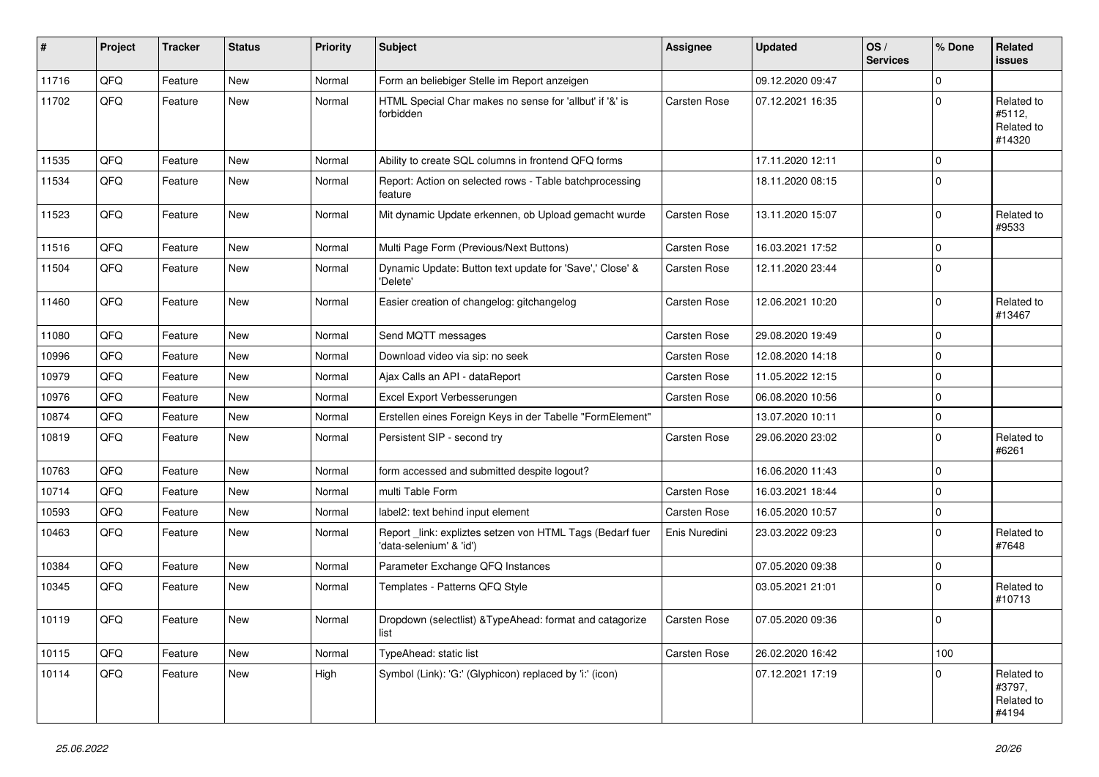| $\sharp$ | Project | <b>Tracker</b> | <b>Status</b> | <b>Priority</b> | Subject                                                                             | <b>Assignee</b> | <b>Updated</b>   | OS/<br><b>Services</b> | % Done      | Related<br><b>issues</b>                     |
|----------|---------|----------------|---------------|-----------------|-------------------------------------------------------------------------------------|-----------------|------------------|------------------------|-------------|----------------------------------------------|
| 11716    | QFQ     | Feature        | <b>New</b>    | Normal          | Form an beliebiger Stelle im Report anzeigen                                        |                 | 09.12.2020 09:47 |                        | $\Omega$    |                                              |
| 11702    | QFQ     | Feature        | New           | Normal          | HTML Special Char makes no sense for 'allbut' if '&' is<br>forbidden                | Carsten Rose    | 07.12.2021 16:35 |                        | $\Omega$    | Related to<br>#5112,<br>Related to<br>#14320 |
| 11535    | QFQ     | Feature        | New           | Normal          | Ability to create SQL columns in frontend QFQ forms                                 |                 | 17.11.2020 12:11 |                        | $\mathbf 0$ |                                              |
| 11534    | QFQ     | Feature        | New           | Normal          | Report: Action on selected rows - Table batchprocessing<br>feature                  |                 | 18.11.2020 08:15 |                        | 0           |                                              |
| 11523    | QFQ     | Feature        | New           | Normal          | Mit dynamic Update erkennen, ob Upload gemacht wurde                                | Carsten Rose    | 13.11.2020 15:07 |                        | $\mathbf 0$ | Related to<br>#9533                          |
| 11516    | QFQ     | Feature        | New           | Normal          | Multi Page Form (Previous/Next Buttons)                                             | Carsten Rose    | 16.03.2021 17:52 |                        | $\mathbf 0$ |                                              |
| 11504    | QFQ     | Feature        | <b>New</b>    | Normal          | Dynamic Update: Button text update for 'Save',' Close' &<br>'Delete'                | Carsten Rose    | 12.11.2020 23:44 |                        | 0           |                                              |
| 11460    | QFQ     | Feature        | New           | Normal          | Easier creation of changelog: gitchangelog                                          | Carsten Rose    | 12.06.2021 10:20 |                        | $\mathbf 0$ | Related to<br>#13467                         |
| 11080    | QFQ     | Feature        | New           | Normal          | Send MQTT messages                                                                  | Carsten Rose    | 29.08.2020 19:49 |                        | 0           |                                              |
| 10996    | QFQ     | Feature        | <b>New</b>    | Normal          | Download video via sip: no seek                                                     | Carsten Rose    | 12.08.2020 14:18 |                        | $\mathbf 0$ |                                              |
| 10979    | QFQ     | Feature        | <b>New</b>    | Normal          | Ajax Calls an API - dataReport                                                      | Carsten Rose    | 11.05.2022 12:15 |                        | 0           |                                              |
| 10976    | QFQ     | Feature        | <b>New</b>    | Normal          | Excel Export Verbesserungen                                                         | Carsten Rose    | 06.08.2020 10:56 |                        | $\mathbf 0$ |                                              |
| 10874    | QFQ     | Feature        | <b>New</b>    | Normal          | Erstellen eines Foreign Keys in der Tabelle "FormElement"                           |                 | 13.07.2020 10:11 |                        | $\mathbf 0$ |                                              |
| 10819    | QFQ     | Feature        | New           | Normal          | Persistent SIP - second try                                                         | Carsten Rose    | 29.06.2020 23:02 |                        | 0           | Related to<br>#6261                          |
| 10763    | QFQ     | Feature        | <b>New</b>    | Normal          | form accessed and submitted despite logout?                                         |                 | 16.06.2020 11:43 |                        | $\mathbf 0$ |                                              |
| 10714    | QFQ     | Feature        | New           | Normal          | multi Table Form                                                                    | Carsten Rose    | 16.03.2021 18:44 |                        | $\mathbf 0$ |                                              |
| 10593    | QFQ     | Feature        | <b>New</b>    | Normal          | label2: text behind input element                                                   | Carsten Rose    | 16.05.2020 10:57 |                        | $\mathbf 0$ |                                              |
| 10463    | QFQ     | Feature        | New           | Normal          | Report_link: expliztes setzen von HTML Tags (Bedarf fuer<br>'data-selenium' & 'id') | Enis Nuredini   | 23.03.2022 09:23 |                        | $\mathbf 0$ | Related to<br>#7648                          |
| 10384    | QFQ     | Feature        | <b>New</b>    | Normal          | Parameter Exchange QFQ Instances                                                    |                 | 07.05.2020 09:38 |                        | $\mathbf 0$ |                                              |
| 10345    | QFQ     | Feature        | New           | Normal          | Templates - Patterns QFQ Style                                                      |                 | 03.05.2021 21:01 |                        | 0           | Related to<br>#10713                         |
| 10119    | QFQ     | Feature        | New           | Normal          | Dropdown (selectlist) & TypeAhead: format and catagorize<br>list                    | Carsten Rose    | 07.05.2020 09:36 |                        | $\Omega$    |                                              |
| 10115    | QFQ     | Feature        | New           | Normal          | TypeAhead: static list                                                              | Carsten Rose    | 26.02.2020 16:42 |                        | 100         |                                              |
| 10114    | QFQ     | Feature        | New           | High            | Symbol (Link): 'G:' (Glyphicon) replaced by 'i:' (icon)                             |                 | 07.12.2021 17:19 |                        | $\Omega$    | Related to<br>#3797,<br>Related to<br>#4194  |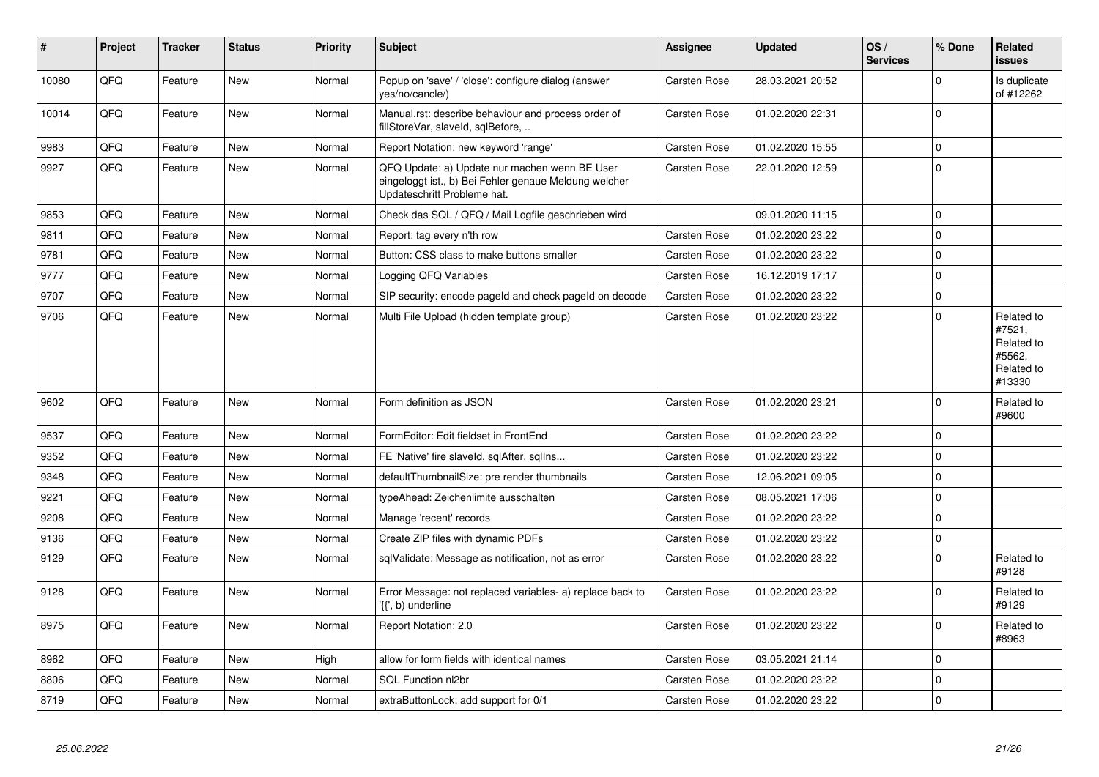| #     | Project | <b>Tracker</b> | <b>Status</b> | <b>Priority</b> | <b>Subject</b>                                                                                                                        | Assignee            | <b>Updated</b>   | OS/<br><b>Services</b> | % Done      | Related<br><b>issues</b>                                             |
|-------|---------|----------------|---------------|-----------------|---------------------------------------------------------------------------------------------------------------------------------------|---------------------|------------------|------------------------|-------------|----------------------------------------------------------------------|
| 10080 | QFQ     | Feature        | <b>New</b>    | Normal          | Popup on 'save' / 'close': configure dialog (answer<br>yes/no/cancle/)                                                                | Carsten Rose        | 28.03.2021 20:52 |                        | $\Omega$    | Is duplicate<br>of #12262                                            |
| 10014 | QFQ     | Feature        | New           | Normal          | Manual.rst: describe behaviour and process order of<br>fillStoreVar, slaveId, sqlBefore,                                              | Carsten Rose        | 01.02.2020 22:31 |                        | $\Omega$    |                                                                      |
| 9983  | QFQ     | Feature        | <b>New</b>    | Normal          | Report Notation: new keyword 'range'                                                                                                  | Carsten Rose        | 01.02.2020 15:55 |                        | $\Omega$    |                                                                      |
| 9927  | QFQ     | Feature        | New           | Normal          | QFQ Update: a) Update nur machen wenn BE User<br>eingeloggt ist., b) Bei Fehler genaue Meldung welcher<br>Updateschritt Probleme hat. | Carsten Rose        | 22.01.2020 12:59 |                        | $\mathbf 0$ |                                                                      |
| 9853  | QFQ     | Feature        | New           | Normal          | Check das SQL / QFQ / Mail Logfile geschrieben wird                                                                                   |                     | 09.01.2020 11:15 |                        | $\mathbf 0$ |                                                                      |
| 9811  | QFQ     | Feature        | New           | Normal          | Report: tag every n'th row                                                                                                            | Carsten Rose        | 01.02.2020 23:22 |                        | $\mathbf 0$ |                                                                      |
| 9781  | QFQ     | Feature        | <b>New</b>    | Normal          | Button: CSS class to make buttons smaller                                                                                             | Carsten Rose        | 01.02.2020 23:22 |                        | $\mathbf 0$ |                                                                      |
| 9777  | QFQ     | Feature        | New           | Normal          | Logging QFQ Variables                                                                                                                 | Carsten Rose        | 16.12.2019 17:17 |                        | $\mathbf 0$ |                                                                      |
| 9707  | QFQ     | Feature        | New           | Normal          | SIP security: encode pageld and check pageld on decode                                                                                | Carsten Rose        | 01.02.2020 23:22 |                        | $\mathbf 0$ |                                                                      |
| 9706  | QFQ     | Feature        | New           | Normal          | Multi File Upload (hidden template group)                                                                                             | Carsten Rose        | 01.02.2020 23:22 |                        | $\Omega$    | Related to<br>#7521,<br>Related to<br>#5562,<br>Related to<br>#13330 |
| 9602  | QFQ     | Feature        | New           | Normal          | Form definition as JSON                                                                                                               | Carsten Rose        | 01.02.2020 23:21 |                        | $\Omega$    | Related to<br>#9600                                                  |
| 9537  | QFQ     | Feature        | <b>New</b>    | Normal          | FormEditor: Edit fieldset in FrontEnd                                                                                                 | Carsten Rose        | 01.02.2020 23:22 |                        | $\mathbf 0$ |                                                                      |
| 9352  | QFQ     | Feature        | New           | Normal          | FE 'Native' fire slaveld, sqlAfter, sqllns                                                                                            | <b>Carsten Rose</b> | 01.02.2020 23:22 |                        | $\mathbf 0$ |                                                                      |
| 9348  | QFQ     | Feature        | <b>New</b>    | Normal          | defaultThumbnailSize: pre render thumbnails                                                                                           | Carsten Rose        | 12.06.2021 09:05 |                        | $\mathbf 0$ |                                                                      |
| 9221  | QFQ     | Feature        | New           | Normal          | typeAhead: Zeichenlimite ausschalten                                                                                                  | Carsten Rose        | 08.05.2021 17:06 |                        | $\pmb{0}$   |                                                                      |
| 9208  | QFQ     | Feature        | New           | Normal          | Manage 'recent' records                                                                                                               | Carsten Rose        | 01.02.2020 23:22 |                        | $\mathbf 0$ |                                                                      |
| 9136  | QFQ     | Feature        | New           | Normal          | Create ZIP files with dynamic PDFs                                                                                                    | Carsten Rose        | 01.02.2020 23:22 |                        | $\pmb{0}$   |                                                                      |
| 9129  | QFQ     | Feature        | New           | Normal          | sqlValidate: Message as notification, not as error                                                                                    | Carsten Rose        | 01.02.2020 23:22 |                        | $\Omega$    | Related to<br>#9128                                                  |
| 9128  | QFQ     | Feature        | New           | Normal          | Error Message: not replaced variables- a) replace back to<br>'{{', b) underline                                                       | Carsten Rose        | 01.02.2020 23:22 |                        | $\mathbf 0$ | Related to<br>#9129                                                  |
| 8975  | QFQ     | Feature        | New           | Normal          | Report Notation: 2.0                                                                                                                  | Carsten Rose        | 01.02.2020 23:22 |                        | $\Omega$    | Related to<br>#8963                                                  |
| 8962  | QFQ     | Feature        | New           | High            | allow for form fields with identical names                                                                                            | Carsten Rose        | 03.05.2021 21:14 |                        | $\mathbf 0$ |                                                                      |
| 8806  | QFQ     | Feature        | <b>New</b>    | Normal          | SQL Function nl2br                                                                                                                    | Carsten Rose        | 01.02.2020 23:22 |                        | $\mathbf 0$ |                                                                      |
| 8719  | QFQ     | Feature        | New           | Normal          | extraButtonLock: add support for 0/1                                                                                                  | Carsten Rose        | 01.02.2020 23:22 |                        | $\mathbf 0$ |                                                                      |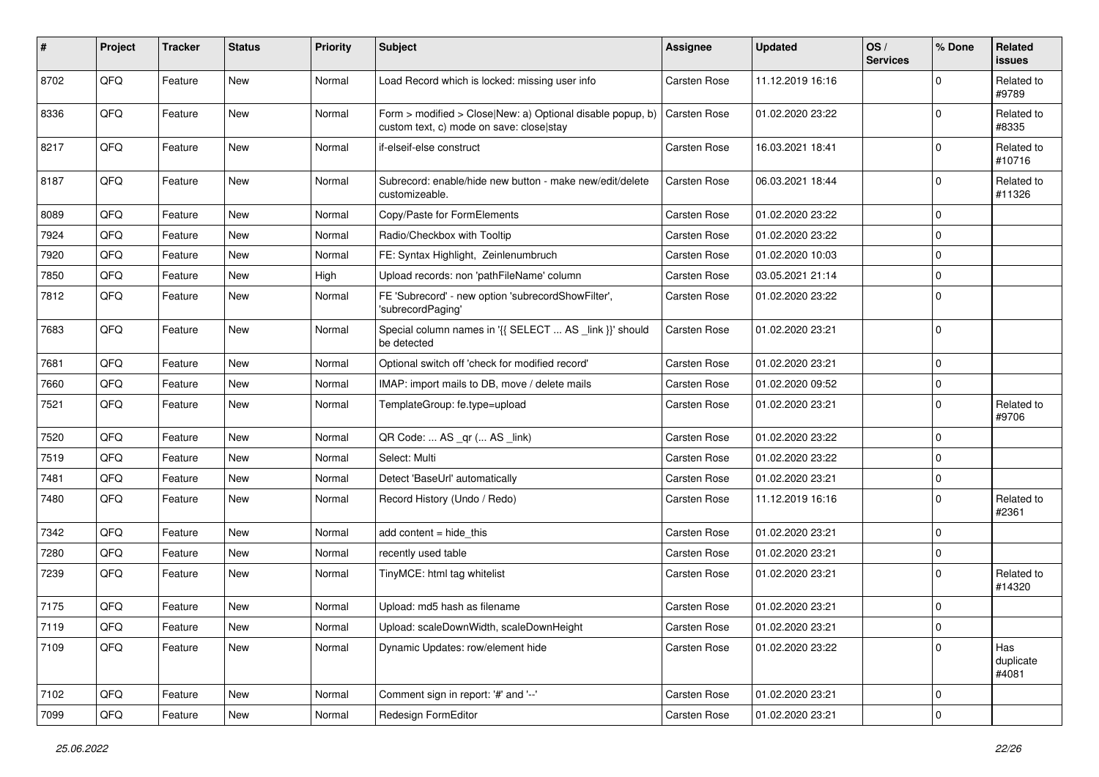| $\sharp$ | Project | <b>Tracker</b> | <b>Status</b> | Priority | <b>Subject</b>                                                                                         | <b>Assignee</b> | <b>Updated</b>   | OS/<br><b>Services</b> | % Done      | Related<br><b>issues</b>  |
|----------|---------|----------------|---------------|----------|--------------------------------------------------------------------------------------------------------|-----------------|------------------|------------------------|-------------|---------------------------|
| 8702     | QFQ     | Feature        | New           | Normal   | Load Record which is locked: missing user info                                                         | Carsten Rose    | 11.12.2019 16:16 |                        | $\Omega$    | Related to<br>#9789       |
| 8336     | QFQ     | Feature        | New           | Normal   | Form > modified > Close New: a) Optional disable popup, b)<br>custom text, c) mode on save: close stay | Carsten Rose    | 01.02.2020 23:22 |                        | $\mathbf 0$ | Related to<br>#8335       |
| 8217     | QFQ     | Feature        | New           | Normal   | if-elseif-else construct                                                                               | Carsten Rose    | 16.03.2021 18:41 |                        | 0           | Related to<br>#10716      |
| 8187     | QFQ     | Feature        | New           | Normal   | Subrecord: enable/hide new button - make new/edit/delete<br>customizeable.                             | Carsten Rose    | 06.03.2021 18:44 |                        | $\mathbf 0$ | Related to<br>#11326      |
| 8089     | QFQ     | Feature        | New           | Normal   | Copy/Paste for FormElements                                                                            | Carsten Rose    | 01.02.2020 23:22 |                        | $\mathbf 0$ |                           |
| 7924     | QFQ     | Feature        | New           | Normal   | Radio/Checkbox with Tooltip                                                                            | Carsten Rose    | 01.02.2020 23:22 |                        | $\mathbf 0$ |                           |
| 7920     | QFQ     | Feature        | New           | Normal   | FE: Syntax Highlight, Zeinlenumbruch                                                                   | Carsten Rose    | 01.02.2020 10:03 |                        | $\mathbf 0$ |                           |
| 7850     | QFQ     | Feature        | New           | High     | Upload records: non 'pathFileName' column                                                              | Carsten Rose    | 03.05.2021 21:14 |                        | $\mathbf 0$ |                           |
| 7812     | QFQ     | Feature        | New           | Normal   | FE 'Subrecord' - new option 'subrecordShowFilter',<br>'subrecordPaging'                                | Carsten Rose    | 01.02.2020 23:22 |                        | $\mathbf 0$ |                           |
| 7683     | QFQ     | Feature        | New           | Normal   | Special column names in '{{ SELECT  AS _link }}' should<br>be detected                                 | Carsten Rose    | 01.02.2020 23:21 |                        | $\mathbf 0$ |                           |
| 7681     | QFQ     | Feature        | <b>New</b>    | Normal   | Optional switch off 'check for modified record'                                                        | Carsten Rose    | 01.02.2020 23:21 |                        | $\mathbf 0$ |                           |
| 7660     | QFQ     | Feature        | New           | Normal   | IMAP: import mails to DB, move / delete mails                                                          | Carsten Rose    | 01.02.2020 09:52 |                        | $\mathbf 0$ |                           |
| 7521     | QFQ     | Feature        | New           | Normal   | TemplateGroup: fe.type=upload                                                                          | Carsten Rose    | 01.02.2020 23:21 |                        | $\mathbf 0$ | Related to<br>#9706       |
| 7520     | QFQ     | Feature        | <b>New</b>    | Normal   | QR Code:  AS _qr ( AS _link)                                                                           | Carsten Rose    | 01.02.2020 23:22 |                        | $\mathbf 0$ |                           |
| 7519     | QFQ     | Feature        | New           | Normal   | Select: Multi                                                                                          | Carsten Rose    | 01.02.2020 23:22 |                        | $\mathbf 0$ |                           |
| 7481     | QFQ     | Feature        | New           | Normal   | Detect 'BaseUrl' automatically                                                                         | Carsten Rose    | 01.02.2020 23:21 |                        | $\mathbf 0$ |                           |
| 7480     | QFQ     | Feature        | New           | Normal   | Record History (Undo / Redo)                                                                           | Carsten Rose    | 11.12.2019 16:16 |                        | $\Omega$    | Related to<br>#2361       |
| 7342     | QFQ     | Feature        | New           | Normal   | add content $=$ hide this                                                                              | Carsten Rose    | 01.02.2020 23:21 |                        | $\mathbf 0$ |                           |
| 7280     | QFQ     | Feature        | New           | Normal   | recently used table                                                                                    | Carsten Rose    | 01.02.2020 23:21 |                        | $\mathbf 0$ |                           |
| 7239     | QFQ     | Feature        | New           | Normal   | TinyMCE: html tag whitelist                                                                            | Carsten Rose    | 01.02.2020 23:21 |                        | $\Omega$    | Related to<br>#14320      |
| 7175     | QFQ     | Feature        | New           | Normal   | Upload: md5 hash as filename                                                                           | Carsten Rose    | 01.02.2020 23:21 |                        | $\mathbf 0$ |                           |
| 7119     | QFQ     | Feature        | New           | Normal   | Upload: scaleDownWidth, scaleDownHeight                                                                | Carsten Rose    | 01.02.2020 23:21 |                        | 0           |                           |
| 7109     | QFQ     | Feature        | New           | Normal   | Dynamic Updates: row/element hide                                                                      | Carsten Rose    | 01.02.2020 23:22 |                        | $\mathbf 0$ | Has<br>duplicate<br>#4081 |
| 7102     | QFQ     | Feature        | New           | Normal   | Comment sign in report: '#' and '--'                                                                   | Carsten Rose    | 01.02.2020 23:21 |                        | $\mathbf 0$ |                           |
| 7099     | QFQ     | Feature        | New           | Normal   | Redesign FormEditor                                                                                    | Carsten Rose    | 01.02.2020 23:21 |                        | $\mathbf 0$ |                           |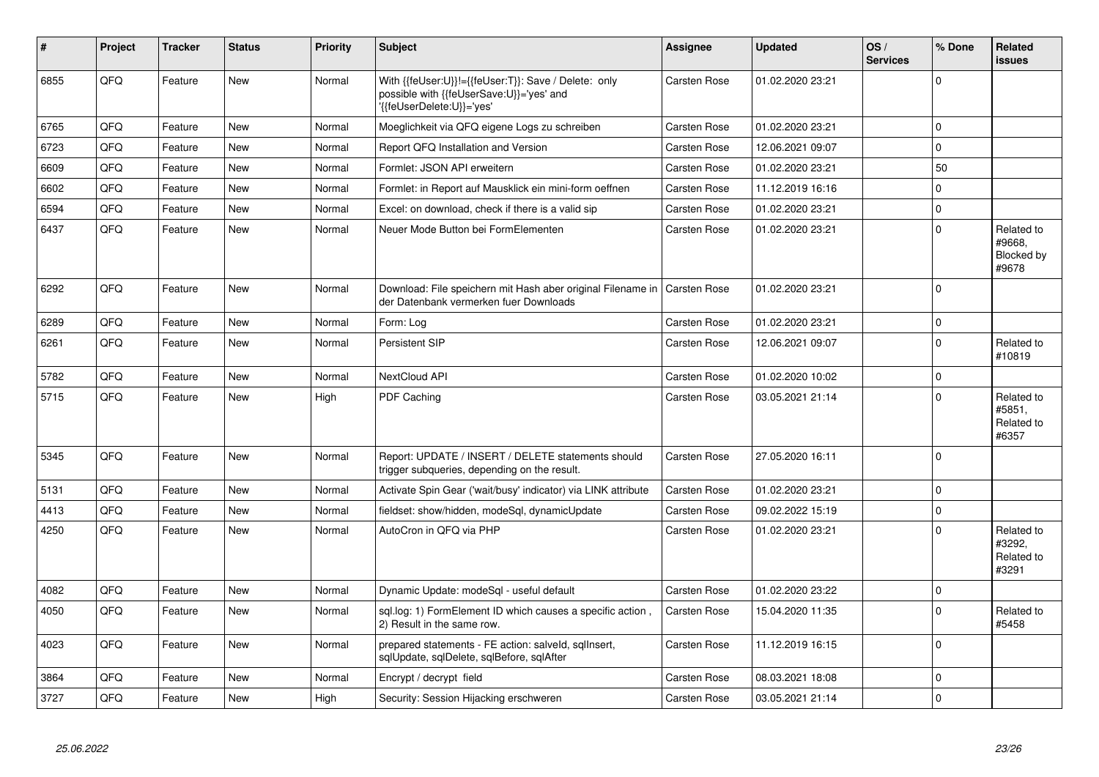| $\vert$ # | Project | <b>Tracker</b> | <b>Status</b> | <b>Priority</b> | <b>Subject</b>                                                                                                               | Assignee            | <b>Updated</b>   | OS/<br><b>Services</b> | % Done      | Related<br><b>issues</b>                    |
|-----------|---------|----------------|---------------|-----------------|------------------------------------------------------------------------------------------------------------------------------|---------------------|------------------|------------------------|-------------|---------------------------------------------|
| 6855      | QFQ     | Feature        | New           | Normal          | With {{feUser:U}}!={{feUser:T}}: Save / Delete: only<br>possible with {{feUserSave:U}}='yes' and<br>'{feUserDelete:U}}='yes' | <b>Carsten Rose</b> | 01.02.2020 23:21 |                        | $\mathbf 0$ |                                             |
| 6765      | QFQ     | Feature        | <b>New</b>    | Normal          | Moeglichkeit via QFQ eigene Logs zu schreiben                                                                                | Carsten Rose        | 01.02.2020 23:21 |                        | $\Omega$    |                                             |
| 6723      | QFQ     | Feature        | New           | Normal          | Report QFQ Installation and Version                                                                                          | <b>Carsten Rose</b> | 12.06.2021 09:07 |                        | $\mathbf 0$ |                                             |
| 6609      | QFQ     | Feature        | New           | Normal          | Formlet: JSON API erweitern                                                                                                  | Carsten Rose        | 01.02.2020 23:21 |                        | 50          |                                             |
| 6602      | QFQ     | Feature        | New           | Normal          | Formlet: in Report auf Mausklick ein mini-form oeffnen                                                                       | Carsten Rose        | 11.12.2019 16:16 |                        | $\mathbf 0$ |                                             |
| 6594      | QFQ     | Feature        | New           | Normal          | Excel: on download, check if there is a valid sip                                                                            | Carsten Rose        | 01.02.2020 23:21 |                        | $\mathbf 0$ |                                             |
| 6437      | QFQ     | Feature        | <b>New</b>    | Normal          | Neuer Mode Button bei FormElementen                                                                                          | Carsten Rose        | 01.02.2020 23:21 |                        | $\Omega$    | Related to<br>#9668,<br>Blocked by<br>#9678 |
| 6292      | QFQ     | Feature        | <b>New</b>    | Normal          | Download: File speichern mit Hash aber original Filename in<br>der Datenbank vermerken fuer Downloads                        | <b>Carsten Rose</b> | 01.02.2020 23:21 |                        | $\Omega$    |                                             |
| 6289      | QFQ     | Feature        | <b>New</b>    | Normal          | Form: Log                                                                                                                    | Carsten Rose        | 01.02.2020 23:21 |                        | $\mathbf 0$ |                                             |
| 6261      | QFQ     | Feature        | <b>New</b>    | Normal          | Persistent SIP                                                                                                               | Carsten Rose        | 12.06.2021 09:07 |                        | $\Omega$    | Related to<br>#10819                        |
| 5782      | QFQ     | Feature        | <b>New</b>    | Normal          | <b>NextCloud API</b>                                                                                                         | Carsten Rose        | 01.02.2020 10:02 |                        | $\mathbf 0$ |                                             |
| 5715      | QFQ     | Feature        | New           | High            | PDF Caching                                                                                                                  | <b>Carsten Rose</b> | 03.05.2021 21:14 |                        | $\Omega$    | Related to<br>#5851.<br>Related to<br>#6357 |
| 5345      | QFQ     | Feature        | New           | Normal          | Report: UPDATE / INSERT / DELETE statements should<br>trigger subqueries, depending on the result.                           | Carsten Rose        | 27.05.2020 16:11 |                        | $\Omega$    |                                             |
| 5131      | QFQ     | Feature        | <b>New</b>    | Normal          | Activate Spin Gear ('wait/busy' indicator) via LINK attribute                                                                | Carsten Rose        | 01.02.2020 23:21 |                        | $\mathbf 0$ |                                             |
| 4413      | QFQ     | Feature        | New           | Normal          | fieldset: show/hidden, modeSql, dynamicUpdate                                                                                | Carsten Rose        | 09.02.2022 15:19 |                        | $\mathbf 0$ |                                             |
| 4250      | QFQ     | Feature        | <b>New</b>    | Normal          | AutoCron in QFQ via PHP                                                                                                      | Carsten Rose        | 01.02.2020 23:21 |                        | $\Omega$    | Related to<br>#3292,<br>Related to<br>#3291 |
| 4082      | QFQ     | Feature        | <b>New</b>    | Normal          | Dynamic Update: modeSql - useful default                                                                                     | Carsten Rose        | 01.02.2020 23:22 |                        | $\mathbf 0$ |                                             |
| 4050      | QFQ     | Feature        | New           | Normal          | sql.log: 1) FormElement ID which causes a specific action,<br>2) Result in the same row.                                     | Carsten Rose        | 15.04.2020 11:35 |                        | $\Omega$    | Related to<br>#5458                         |
| 4023      | QFQ     | Feature        | <b>New</b>    | Normal          | prepared statements - FE action: salveld, sqllnsert,<br>sqlUpdate, sqlDelete, sqlBefore, sqlAfter                            | Carsten Rose        | 11.12.2019 16:15 |                        | $\Omega$    |                                             |
| 3864      | QFQ     | Feature        | <b>New</b>    | Normal          | Encrypt / decrypt field                                                                                                      | Carsten Rose        | 08.03.2021 18:08 |                        | $\mathbf 0$ |                                             |
| 3727      | QFQ     | Feature        | New           | High            | Security: Session Hijacking erschweren                                                                                       | Carsten Rose        | 03.05.2021 21:14 |                        | $\mathbf 0$ |                                             |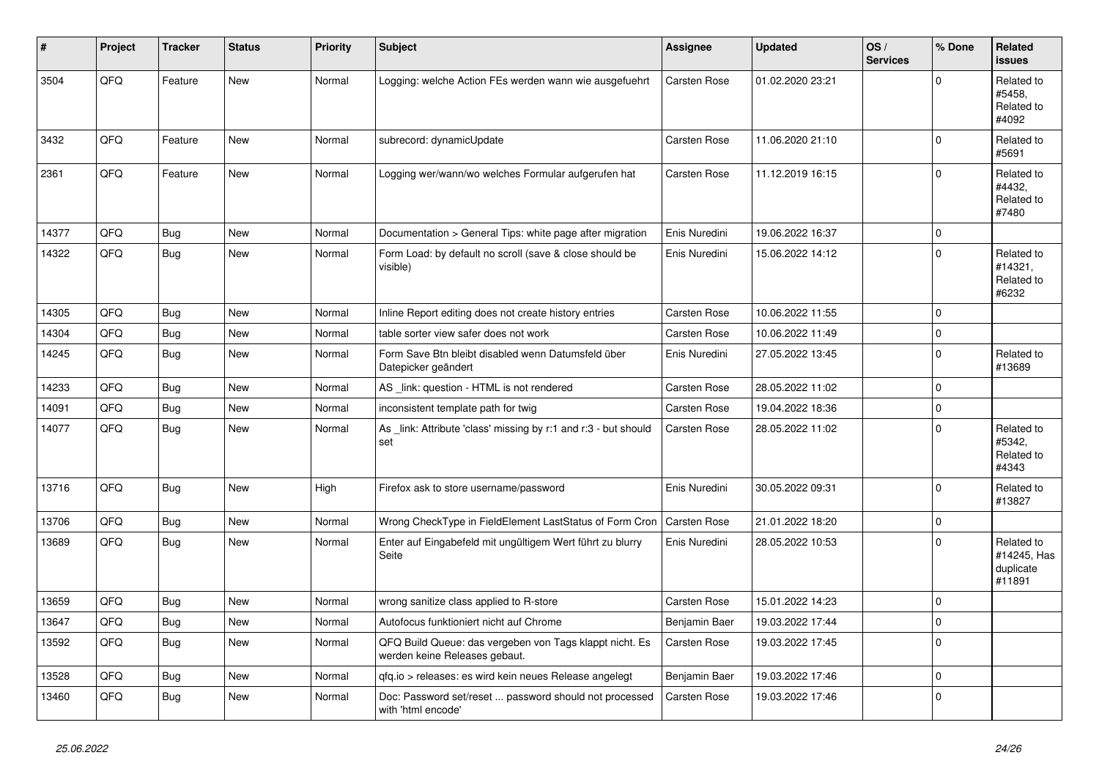| #     | Project | <b>Tracker</b> | <b>Status</b> | <b>Priority</b> | <b>Subject</b>                                                                           | Assignee            | <b>Updated</b>   | OS/<br><b>Services</b> | % Done      | Related<br><b>issues</b>                         |
|-------|---------|----------------|---------------|-----------------|------------------------------------------------------------------------------------------|---------------------|------------------|------------------------|-------------|--------------------------------------------------|
| 3504  | QFQ     | Feature        | New           | Normal          | Logging: welche Action FEs werden wann wie ausgefuehrt                                   | Carsten Rose        | 01.02.2020 23:21 |                        | $\Omega$    | Related to<br>#5458.<br>Related to<br>#4092      |
| 3432  | QFQ     | Feature        | <b>New</b>    | Normal          | subrecord: dynamicUpdate                                                                 | Carsten Rose        | 11.06.2020 21:10 |                        | $\Omega$    | Related to<br>#5691                              |
| 2361  | QFQ     | Feature        | New           | Normal          | Logging wer/wann/wo welches Formular aufgerufen hat                                      | Carsten Rose        | 11.12.2019 16:15 |                        | $\Omega$    | Related to<br>#4432.<br>Related to<br>#7480      |
| 14377 | QFQ     | Bug            | New           | Normal          | Documentation > General Tips: white page after migration                                 | Enis Nuredini       | 19.06.2022 16:37 |                        | $\mathbf 0$ |                                                  |
| 14322 | QFQ     | Bug            | New           | Normal          | Form Load: by default no scroll (save & close should be<br>visible)                      | Enis Nuredini       | 15.06.2022 14:12 |                        | $\Omega$    | Related to<br>#14321,<br>Related to<br>#6232     |
| 14305 | QFQ     | Bug            | <b>New</b>    | Normal          | Inline Report editing does not create history entries                                    | Carsten Rose        | 10.06.2022 11:55 |                        | $\Omega$    |                                                  |
| 14304 | QFQ     | Bug            | <b>New</b>    | Normal          | table sorter view safer does not work                                                    | Carsten Rose        | 10.06.2022 11:49 |                        | $\mathbf 0$ |                                                  |
| 14245 | QFQ     | <b>Bug</b>     | New           | Normal          | Form Save Btn bleibt disabled wenn Datumsfeld über<br>Datepicker geändert                | Enis Nuredini       | 27.05.2022 13:45 |                        | $\Omega$    | Related to<br>#13689                             |
| 14233 | QFQ     | <b>Bug</b>     | <b>New</b>    | Normal          | AS _link: question - HTML is not rendered                                                | Carsten Rose        | 28.05.2022 11:02 |                        | $\Omega$    |                                                  |
| 14091 | QFQ     | <b>Bug</b>     | <b>New</b>    | Normal          | inconsistent template path for twig                                                      | Carsten Rose        | 19.04.2022 18:36 |                        | $\Omega$    |                                                  |
| 14077 | QFQ     | <b>Bug</b>     | New           | Normal          | As _link: Attribute 'class' missing by r:1 and r:3 - but should<br>set                   | Carsten Rose        | 28.05.2022 11:02 |                        | $\Omega$    | Related to<br>#5342.<br>Related to<br>#4343      |
| 13716 | QFQ     | Bug            | New           | High            | Firefox ask to store username/password                                                   | Enis Nuredini       | 30.05.2022 09:31 |                        | $\Omega$    | Related to<br>#13827                             |
| 13706 | QFQ     | Bug            | <b>New</b>    | Normal          | Wrong CheckType in FieldElement LastStatus of Form Cron                                  | <b>Carsten Rose</b> | 21.01.2022 18:20 |                        | $\Omega$    |                                                  |
| 13689 | QFQ     | <b>Bug</b>     | <b>New</b>    | Normal          | Enter auf Eingabefeld mit ungültigem Wert führt zu blurry<br>Seite                       | Enis Nuredini       | 28.05.2022 10:53 |                        | $\Omega$    | Related to<br>#14245, Has<br>duplicate<br>#11891 |
| 13659 | QFQ     | Bug            | <b>New</b>    | Normal          | wrong sanitize class applied to R-store                                                  | Carsten Rose        | 15.01.2022 14:23 |                        | $\Omega$    |                                                  |
| 13647 | QFQ     | <b>Bug</b>     | <b>New</b>    | Normal          | Autofocus funktioniert nicht auf Chrome                                                  | Benjamin Baer       | 19.03.2022 17:44 |                        | $\Omega$    |                                                  |
| 13592 | QFQ     | <b>Bug</b>     | New           | Normal          | QFQ Build Queue: das vergeben von Tags klappt nicht. Es<br>werden keine Releases gebaut. | Carsten Rose        | 19.03.2022 17:45 |                        | $\Omega$    |                                                  |
| 13528 | QFQ     | Bug            | <b>New</b>    | Normal          | qfq.io > releases: es wird kein neues Release angelegt                                   | Benjamin Baer       | 19.03.2022 17:46 |                        | $\Omega$    |                                                  |
| 13460 | QFQ     | Bug            | <b>New</b>    | Normal          | Doc: Password set/reset  password should not processed<br>with 'html encode'             | Carsten Rose        | 19.03.2022 17:46 |                        | $\Omega$    |                                                  |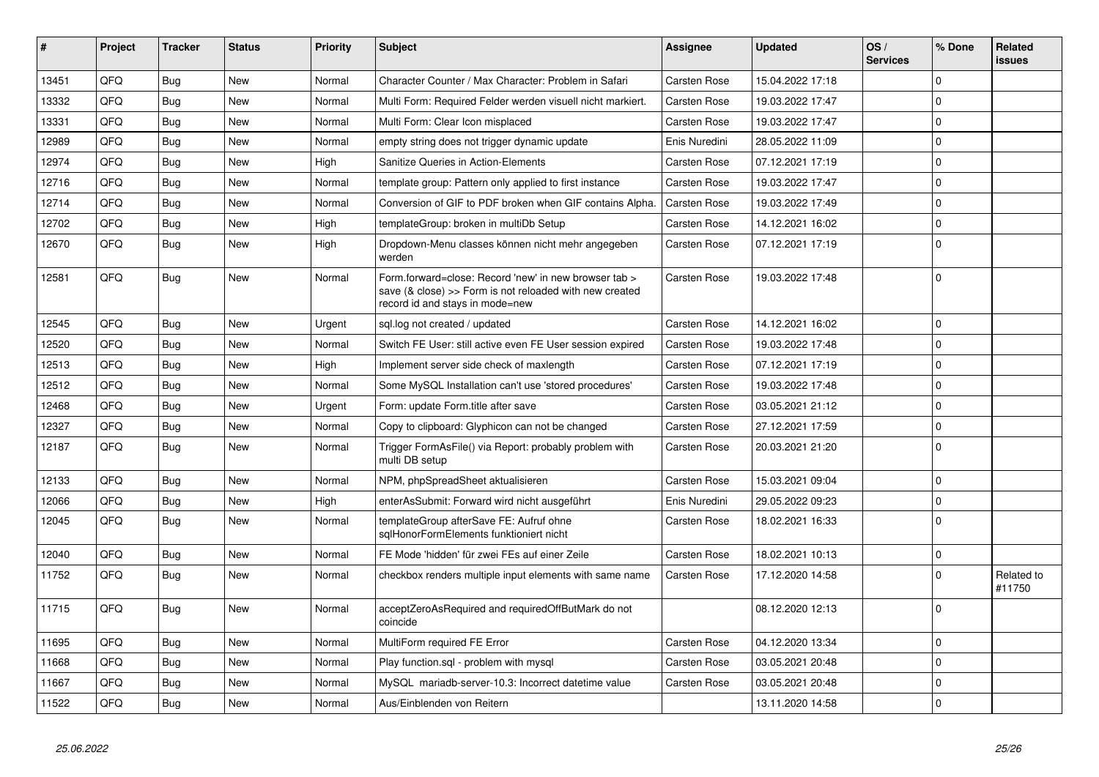| #     | Project | <b>Tracker</b> | <b>Status</b> | Priority | <b>Subject</b>                                                                                                                                      | <b>Assignee</b>     | <b>Updated</b>   | OS/<br><b>Services</b> | % Done      | Related<br><b>issues</b> |
|-------|---------|----------------|---------------|----------|-----------------------------------------------------------------------------------------------------------------------------------------------------|---------------------|------------------|------------------------|-------------|--------------------------|
| 13451 | QFQ     | Bug            | <b>New</b>    | Normal   | Character Counter / Max Character: Problem in Safari                                                                                                | Carsten Rose        | 15.04.2022 17:18 |                        | $\Omega$    |                          |
| 13332 | QFQ     | Bug            | <b>New</b>    | Normal   | Multi Form: Required Felder werden visuell nicht markiert.                                                                                          | Carsten Rose        | 19.03.2022 17:47 |                        | $\Omega$    |                          |
| 13331 | QFQ     | Bug            | New           | Normal   | Multi Form: Clear Icon misplaced                                                                                                                    | <b>Carsten Rose</b> | 19.03.2022 17:47 |                        | $\Omega$    |                          |
| 12989 | QFQ     | Bug            | <b>New</b>    | Normal   | empty string does not trigger dynamic update                                                                                                        | Enis Nuredini       | 28.05.2022 11:09 |                        | $\mathbf 0$ |                          |
| 12974 | QFQ     | Bug            | <b>New</b>    | High     | Sanitize Queries in Action-Elements                                                                                                                 | <b>Carsten Rose</b> | 07.12.2021 17:19 |                        | $\mathbf 0$ |                          |
| 12716 | QFQ     | <b>Bug</b>     | <b>New</b>    | Normal   | template group: Pattern only applied to first instance                                                                                              | <b>Carsten Rose</b> | 19.03.2022 17:47 |                        | $\Omega$    |                          |
| 12714 | QFQ     | Bug            | <b>New</b>    | Normal   | Conversion of GIF to PDF broken when GIF contains Alpha.                                                                                            | <b>Carsten Rose</b> | 19.03.2022 17:49 |                        | $\Omega$    |                          |
| 12702 | QFQ     | <b>Bug</b>     | <b>New</b>    | High     | templateGroup: broken in multiDb Setup                                                                                                              | Carsten Rose        | 14.12.2021 16:02 |                        | $\mathbf 0$ |                          |
| 12670 | QFQ     | <b>Bug</b>     | <b>New</b>    | High     | Dropdown-Menu classes können nicht mehr angegeben<br>werden                                                                                         | <b>Carsten Rose</b> | 07.12.2021 17:19 |                        | $\Omega$    |                          |
| 12581 | QFQ     | Bug            | <b>New</b>    | Normal   | Form.forward=close: Record 'new' in new browser tab ><br>save (& close) >> Form is not reloaded with new created<br>record id and stays in mode=new | <b>Carsten Rose</b> | 19.03.2022 17:48 |                        | $\Omega$    |                          |
| 12545 | QFQ     | Bug            | <b>New</b>    | Urgent   | sql.log not created / updated                                                                                                                       | <b>Carsten Rose</b> | 14.12.2021 16:02 |                        | $\Omega$    |                          |
| 12520 | QFQ     | Bug            | <b>New</b>    | Normal   | Switch FE User: still active even FE User session expired                                                                                           | <b>Carsten Rose</b> | 19.03.2022 17:48 |                        | $\mathbf 0$ |                          |
| 12513 | QFQ     | <b>Bug</b>     | New           | High     | Implement server side check of maxlength                                                                                                            | Carsten Rose        | 07.12.2021 17:19 |                        | $\Omega$    |                          |
| 12512 | QFQ     | <b>Bug</b>     | <b>New</b>    | Normal   | Some MySQL Installation can't use 'stored procedures'                                                                                               | <b>Carsten Rose</b> | 19.03.2022 17:48 |                        | $\Omega$    |                          |
| 12468 | QFQ     | Bug            | <b>New</b>    | Urgent   | Form: update Form.title after save                                                                                                                  | <b>Carsten Rose</b> | 03.05.2021 21:12 |                        | $\Omega$    |                          |
| 12327 | QFQ     | <b>Bug</b>     | <b>New</b>    | Normal   | Copy to clipboard: Glyphicon can not be changed                                                                                                     | <b>Carsten Rose</b> | 27.12.2021 17:59 |                        | $\mathbf 0$ |                          |
| 12187 | QFQ     | Bug            | <b>New</b>    | Normal   | Trigger FormAsFile() via Report: probably problem with<br>multi DB setup                                                                            | Carsten Rose        | 20.03.2021 21:20 |                        | $\Omega$    |                          |
| 12133 | QFQ     | Bug            | <b>New</b>    | Normal   | NPM, phpSpreadSheet aktualisieren                                                                                                                   | <b>Carsten Rose</b> | 15.03.2021 09:04 |                        | $\Omega$    |                          |
| 12066 | QFQ     | <b>Bug</b>     | New           | High     | enterAsSubmit: Forward wird nicht ausgeführt                                                                                                        | Enis Nuredini       | 29.05.2022 09:23 |                        | $\mathbf 0$ |                          |
| 12045 | QFQ     | Bug            | <b>New</b>    | Normal   | templateGroup afterSave FE: Aufruf ohne<br>sglHonorFormElements funktioniert nicht                                                                  | Carsten Rose        | 18.02.2021 16:33 |                        | $\Omega$    |                          |
| 12040 | QFQ     | Bug            | New           | Normal   | FE Mode 'hidden' für zwei FEs auf einer Zeile                                                                                                       | <b>Carsten Rose</b> | 18.02.2021 10:13 |                        | $\mathbf 0$ |                          |
| 11752 | QFQ     | <b>Bug</b>     | <b>New</b>    | Normal   | checkbox renders multiple input elements with same name                                                                                             | <b>Carsten Rose</b> | 17.12.2020 14:58 |                        | $\Omega$    | Related to<br>#11750     |
| 11715 | QFQ     | Bug            | <b>New</b>    | Normal   | acceptZeroAsRequired and requiredOffButMark do not<br>coincide                                                                                      |                     | 08.12.2020 12:13 |                        | $\Omega$    |                          |
| 11695 | QFQ     | <b>Bug</b>     | <b>New</b>    | Normal   | MultiForm required FE Error                                                                                                                         | Carsten Rose        | 04.12.2020 13:34 |                        | $\Omega$    |                          |
| 11668 | QFQ     | Bug            | <b>New</b>    | Normal   | Play function.sql - problem with mysql                                                                                                              | <b>Carsten Rose</b> | 03.05.2021 20:48 |                        | $\Omega$    |                          |
| 11667 | QFQ     | Bug            | <b>New</b>    | Normal   | MySQL mariadb-server-10.3: Incorrect datetime value                                                                                                 | <b>Carsten Rose</b> | 03.05.2021 20:48 |                        | $\mathbf 0$ |                          |
| 11522 | QFQ     | Bug            | New           | Normal   | Aus/Einblenden von Reitern                                                                                                                          |                     | 13.11.2020 14:58 |                        | $\Omega$    |                          |